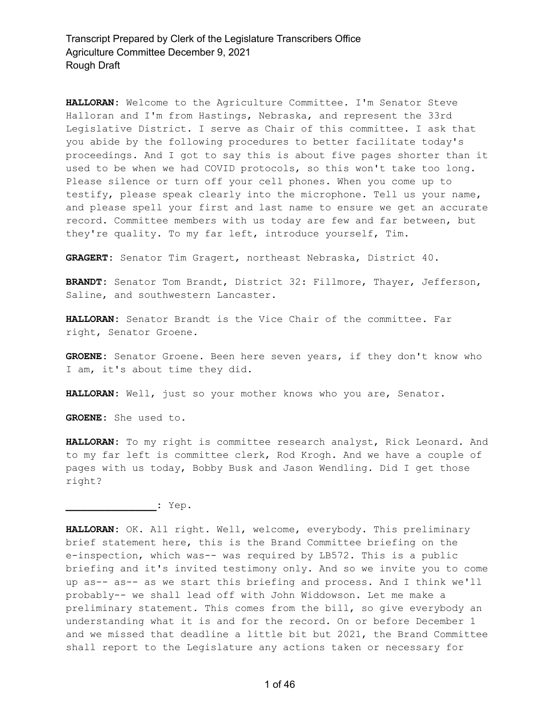**HALLORAN:** Welcome to the Agriculture Committee. I'm Senator Steve Halloran and I'm from Hastings, Nebraska, and represent the 33rd Legislative District. I serve as Chair of this committee. I ask that you abide by the following procedures to better facilitate today's proceedings. And I got to say this is about five pages shorter than it used to be when we had COVID protocols, so this won't take too long. Please silence or turn off your cell phones. When you come up to testify, please speak clearly into the microphone. Tell us your name, and please spell your first and last name to ensure we get an accurate record. Committee members with us today are few and far between, but they're quality. To my far left, introduce yourself, Tim.

**GRAGERT:** Senator Tim Gragert, northeast Nebraska, District 40.

**BRANDT:** Senator Tom Brandt, District 32: Fillmore, Thayer, Jefferson, Saline, and southwestern Lancaster.

**HALLORAN:** Senator Brandt is the Vice Chair of the committee. Far right, Senator Groene.

**GROENE:** Senator Groene. Been here seven years, if they don't know who I am, it's about time they did.

**HALLORAN:** Well, just so your mother knows who you are, Senator.

**GROENE:** She used to.

**HALLORAN:** To my right is committee research analyst, Rick Leonard. And to my far left is committee clerk, Rod Krogh. And we have a couple of pages with us today, Bobby Busk and Jason Wendling. Did I get those right?

**\_\_\_\_\_\_\_\_\_\_\_\_\_\_\_:** Yep.

**HALLORAN:** OK. All right. Well, welcome, everybody. This preliminary brief statement here, this is the Brand Committee briefing on the e-inspection, which was-- was required by LB572. This is a public briefing and it's invited testimony only. And so we invite you to come up as-- as-- as we start this briefing and process. And I think we'll probably-- we shall lead off with John Widdowson. Let me make a preliminary statement. This comes from the bill, so give everybody an understanding what it is and for the record. On or before December 1 and we missed that deadline a little bit but 2021, the Brand Committee shall report to the Legislature any actions taken or necessary for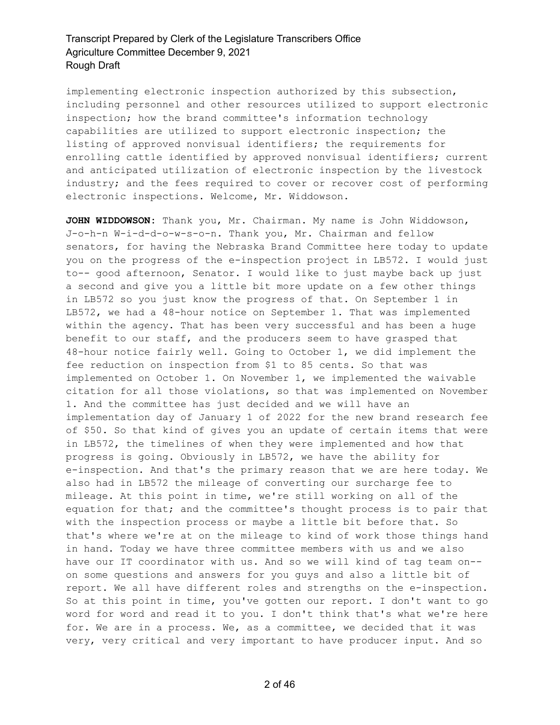implementing electronic inspection authorized by this subsection, including personnel and other resources utilized to support electronic inspection; how the brand committee's information technology capabilities are utilized to support electronic inspection; the listing of approved nonvisual identifiers; the requirements for enrolling cattle identified by approved nonvisual identifiers; current and anticipated utilization of electronic inspection by the livestock industry; and the fees required to cover or recover cost of performing electronic inspections. Welcome, Mr. Widdowson.

**JOHN WIDDOWSON:** Thank you, Mr. Chairman. My name is John Widdowson, J-o-h-n W-i-d-d-o-w-s-o-n. Thank you, Mr. Chairman and fellow senators, for having the Nebraska Brand Committee here today to update you on the progress of the e-inspection project in LB572. I would just to-- good afternoon, Senator. I would like to just maybe back up just a second and give you a little bit more update on a few other things in LB572 so you just know the progress of that. On September 1 in LB572, we had a 48-hour notice on September 1. That was implemented within the agency. That has been very successful and has been a huge benefit to our staff, and the producers seem to have grasped that 48-hour notice fairly well. Going to October 1, we did implement the fee reduction on inspection from \$1 to 85 cents. So that was implemented on October 1. On November 1, we implemented the waivable citation for all those violations, so that was implemented on November 1. And the committee has just decided and we will have an implementation day of January 1 of 2022 for the new brand research fee of \$50. So that kind of gives you an update of certain items that were in LB572, the timelines of when they were implemented and how that progress is going. Obviously in LB572, we have the ability for e-inspection. And that's the primary reason that we are here today. We also had in LB572 the mileage of converting our surcharge fee to mileage. At this point in time, we're still working on all of the equation for that; and the committee's thought process is to pair that with the inspection process or maybe a little bit before that. So that's where we're at on the mileage to kind of work those things hand in hand. Today we have three committee members with us and we also have our IT coordinator with us. And so we will kind of tag team on- on some questions and answers for you guys and also a little bit of report. We all have different roles and strengths on the e-inspection. So at this point in time, you've gotten our report. I don't want to go word for word and read it to you. I don't think that's what we're here for. We are in a process. We, as a committee, we decided that it was very, very critical and very important to have producer input. And so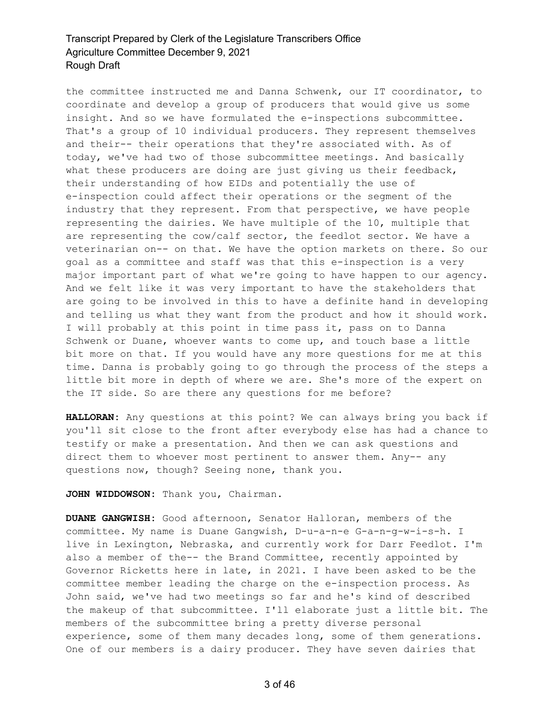the committee instructed me and Danna Schwenk, our IT coordinator, to coordinate and develop a group of producers that would give us some insight. And so we have formulated the e-inspections subcommittee. That's a group of 10 individual producers. They represent themselves and their-- their operations that they're associated with. As of today, we've had two of those subcommittee meetings. And basically what these producers are doing are just giving us their feedback, their understanding of how EIDs and potentially the use of e-inspection could affect their operations or the segment of the industry that they represent. From that perspective, we have people representing the dairies. We have multiple of the 10, multiple that are representing the cow/calf sector, the feedlot sector. We have a veterinarian on-- on that. We have the option markets on there. So our goal as a committee and staff was that this e-inspection is a very major important part of what we're going to have happen to our agency. And we felt like it was very important to have the stakeholders that are going to be involved in this to have a definite hand in developing and telling us what they want from the product and how it should work. I will probably at this point in time pass it, pass on to Danna Schwenk or Duane, whoever wants to come up, and touch base a little bit more on that. If you would have any more questions for me at this time. Danna is probably going to go through the process of the steps a little bit more in depth of where we are. She's more of the expert on the IT side. So are there any questions for me before?

**HALLORAN:** Any questions at this point? We can always bring you back if you'll sit close to the front after everybody else has had a chance to testify or make a presentation. And then we can ask questions and direct them to whoever most pertinent to answer them. Any-- any questions now, though? Seeing none, thank you.

**JOHN WIDDOWSON:** Thank you, Chairman.

**DUANE GANGWISH:** Good afternoon, Senator Halloran, members of the committee. My name is Duane Gangwish, D-u-a-n-e G-a-n-g-w-i-s-h. I live in Lexington, Nebraska, and currently work for Darr Feedlot. I'm also a member of the-- the Brand Committee, recently appointed by Governor Ricketts here in late, in 2021. I have been asked to be the committee member leading the charge on the e-inspection process. As John said, we've had two meetings so far and he's kind of described the makeup of that subcommittee. I'll elaborate just a little bit. The members of the subcommittee bring a pretty diverse personal experience, some of them many decades long, some of them generations. One of our members is a dairy producer. They have seven dairies that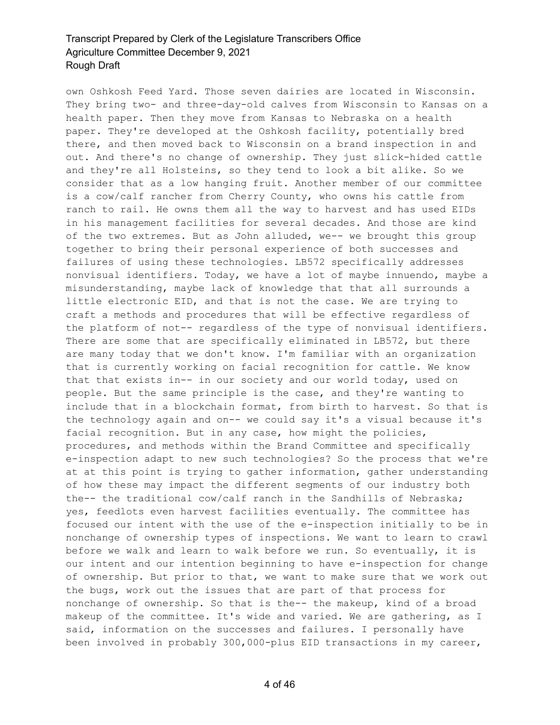own Oshkosh Feed Yard. Those seven dairies are located in Wisconsin. They bring two- and three-day-old calves from Wisconsin to Kansas on a health paper. Then they move from Kansas to Nebraska on a health paper. They're developed at the Oshkosh facility, potentially bred there, and then moved back to Wisconsin on a brand inspection in and out. And there's no change of ownership. They just slick-hided cattle and they're all Holsteins, so they tend to look a bit alike. So we consider that as a low hanging fruit. Another member of our committee is a cow/calf rancher from Cherry County, who owns his cattle from ranch to rail. He owns them all the way to harvest and has used EIDs in his management facilities for several decades. And those are kind of the two extremes. But as John alluded, we-- we brought this group together to bring their personal experience of both successes and failures of using these technologies. LB572 specifically addresses nonvisual identifiers. Today, we have a lot of maybe innuendo, maybe a misunderstanding, maybe lack of knowledge that that all surrounds a little electronic EID, and that is not the case. We are trying to craft a methods and procedures that will be effective regardless of the platform of not-- regardless of the type of nonvisual identifiers. There are some that are specifically eliminated in LB572, but there are many today that we don't know. I'm familiar with an organization that is currently working on facial recognition for cattle. We know that that exists in-- in our society and our world today, used on people. But the same principle is the case, and they're wanting to include that in a blockchain format, from birth to harvest. So that is the technology again and on-- we could say it's a visual because it's facial recognition. But in any case, how might the policies, procedures, and methods within the Brand Committee and specifically e-inspection adapt to new such technologies? So the process that we're at at this point is trying to gather information, gather understanding of how these may impact the different segments of our industry both the-- the traditional cow/calf ranch in the Sandhills of Nebraska; yes, feedlots even harvest facilities eventually. The committee has focused our intent with the use of the e-inspection initially to be in nonchange of ownership types of inspections. We want to learn to crawl before we walk and learn to walk before we run. So eventually, it is our intent and our intention beginning to have e-inspection for change of ownership. But prior to that, we want to make sure that we work out the bugs, work out the issues that are part of that process for nonchange of ownership. So that is the-- the makeup, kind of a broad makeup of the committee. It's wide and varied. We are gathering, as I said, information on the successes and failures. I personally have been involved in probably 300,000-plus EID transactions in my career,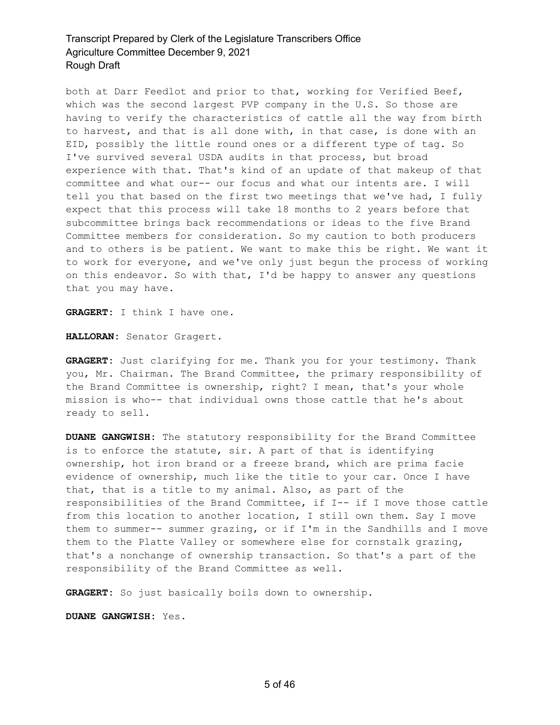both at Darr Feedlot and prior to that, working for Verified Beef, which was the second largest PVP company in the U.S. So those are having to verify the characteristics of cattle all the way from birth to harvest, and that is all done with, in that case, is done with an EID, possibly the little round ones or a different type of tag. So I've survived several USDA audits in that process, but broad experience with that. That's kind of an update of that makeup of that committee and what our-- our focus and what our intents are. I will tell you that based on the first two meetings that we've had, I fully expect that this process will take 18 months to 2 years before that subcommittee brings back recommendations or ideas to the five Brand Committee members for consideration. So my caution to both producers and to others is be patient. We want to make this be right. We want it to work for everyone, and we've only just begun the process of working on this endeavor. So with that, I'd be happy to answer any questions that you may have.

**GRAGERT:** I think I have one.

**HALLORAN:** Senator Gragert.

**GRAGERT:** Just clarifying for me. Thank you for your testimony. Thank you, Mr. Chairman. The Brand Committee, the primary responsibility of the Brand Committee is ownership, right? I mean, that's your whole mission is who-- that individual owns those cattle that he's about ready to sell.

**DUANE GANGWISH:** The statutory responsibility for the Brand Committee is to enforce the statute, sir. A part of that is identifying ownership, hot iron brand or a freeze brand, which are prima facie evidence of ownership, much like the title to your car. Once I have that, that is a title to my animal. Also, as part of the responsibilities of the Brand Committee, if I-- if I move those cattle from this location to another location, I still own them. Say I move them to summer-- summer grazing, or if I'm in the Sandhills and I move them to the Platte Valley or somewhere else for cornstalk grazing, that's a nonchange of ownership transaction. So that's a part of the responsibility of the Brand Committee as well.

**GRAGERT:** So just basically boils down to ownership.

**DUANE GANGWISH:** Yes.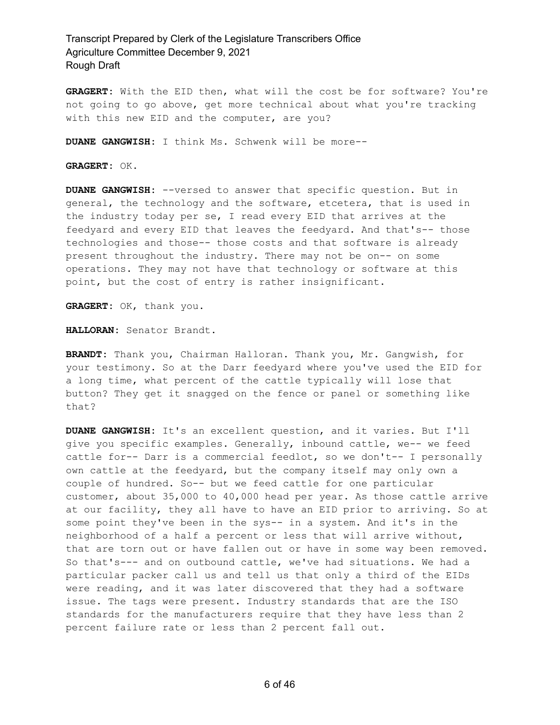**GRAGERT:** With the EID then, what will the cost be for software? You're not going to go above, get more technical about what you're tracking with this new EID and the computer, are you?

**DUANE GANGWISH:** I think Ms. Schwenk will be more--

**GRAGERT:** OK.

**DUANE GANGWISH:** --versed to answer that specific question. But in general, the technology and the software, etcetera, that is used in the industry today per se, I read every EID that arrives at the feedyard and every EID that leaves the feedyard. And that's-- those technologies and those-- those costs and that software is already present throughout the industry. There may not be on-- on some operations. They may not have that technology or software at this point, but the cost of entry is rather insignificant.

**GRAGERT:** OK, thank you.

**HALLORAN:** Senator Brandt.

**BRANDT:** Thank you, Chairman Halloran. Thank you, Mr. Gangwish, for your testimony. So at the Darr feedyard where you've used the EID for a long time, what percent of the cattle typically will lose that button? They get it snagged on the fence or panel or something like that?

**DUANE GANGWISH:** It's an excellent question, and it varies. But I'll give you specific examples. Generally, inbound cattle, we-- we feed cattle for-- Darr is a commercial feedlot, so we don't-- I personally own cattle at the feedyard, but the company itself may only own a couple of hundred. So-- but we feed cattle for one particular customer, about 35,000 to 40,000 head per year. As those cattle arrive at our facility, they all have to have an EID prior to arriving. So at some point they've been in the sys-- in a system. And it's in the neighborhood of a half a percent or less that will arrive without, that are torn out or have fallen out or have in some way been removed. So that's--- and on outbound cattle, we've had situations. We had a particular packer call us and tell us that only a third of the EIDs were reading, and it was later discovered that they had a software issue. The tags were present. Industry standards that are the ISO standards for the manufacturers require that they have less than 2 percent failure rate or less than 2 percent fall out.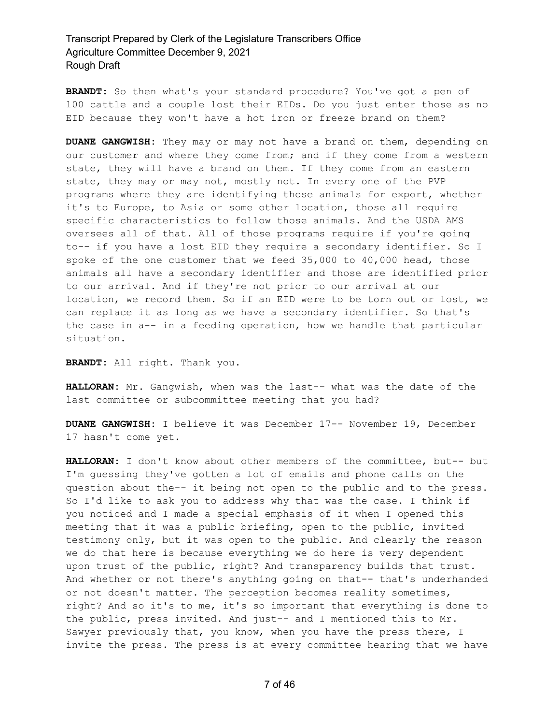**BRANDT:** So then what's your standard procedure? You've got a pen of 100 cattle and a couple lost their EIDs. Do you just enter those as no EID because they won't have a hot iron or freeze brand on them?

**DUANE GANGWISH:** They may or may not have a brand on them, depending on our customer and where they come from; and if they come from a western state, they will have a brand on them. If they come from an eastern state, they may or may not, mostly not. In every one of the PVP programs where they are identifying those animals for export, whether it's to Europe, to Asia or some other location, those all require specific characteristics to follow those animals. And the USDA AMS oversees all of that. All of those programs require if you're going to-- if you have a lost EID they require a secondary identifier. So I spoke of the one customer that we feed 35,000 to 40,000 head, those animals all have a secondary identifier and those are identified prior to our arrival. And if they're not prior to our arrival at our location, we record them. So if an EID were to be torn out or lost, we can replace it as long as we have a secondary identifier. So that's the case in a-- in a feeding operation, how we handle that particular situation.

**BRANDT:** All right. Thank you.

**HALLORAN:** Mr. Gangwish, when was the last-- what was the date of the last committee or subcommittee meeting that you had?

**DUANE GANGWISH:** I believe it was December 17-- November 19, December 17 hasn't come yet.

**HALLORAN:** I don't know about other members of the committee, but-- but I'm guessing they've gotten a lot of emails and phone calls on the question about the-- it being not open to the public and to the press. So I'd like to ask you to address why that was the case. I think if you noticed and I made a special emphasis of it when I opened this meeting that it was a public briefing, open to the public, invited testimony only, but it was open to the public. And clearly the reason we do that here is because everything we do here is very dependent upon trust of the public, right? And transparency builds that trust. And whether or not there's anything going on that-- that's underhanded or not doesn't matter. The perception becomes reality sometimes, right? And so it's to me, it's so important that everything is done to the public, press invited. And just-- and I mentioned this to Mr. Sawyer previously that, you know, when you have the press there, I invite the press. The press is at every committee hearing that we have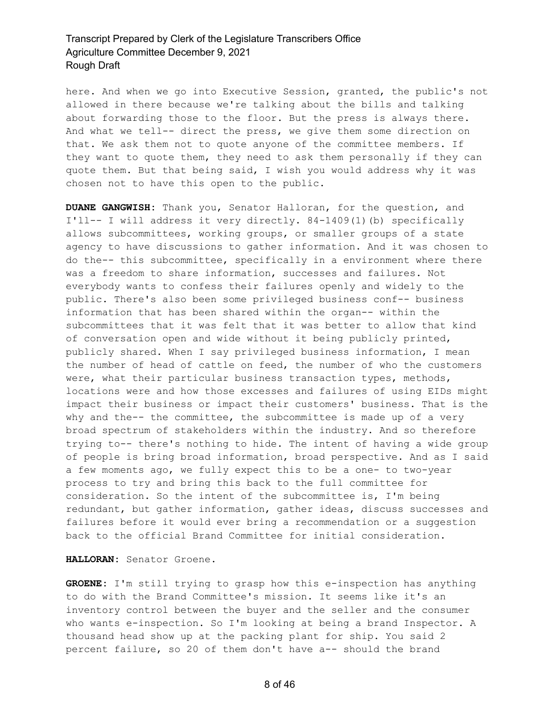here. And when we go into Executive Session, granted, the public's not allowed in there because we're talking about the bills and talking about forwarding those to the floor. But the press is always there. And what we tell-- direct the press, we give them some direction on that. We ask them not to quote anyone of the committee members. If they want to quote them, they need to ask them personally if they can quote them. But that being said, I wish you would address why it was chosen not to have this open to the public.

**DUANE GANGWISH:** Thank you, Senator Halloran, for the question, and I'll-- I will address it very directly. 84-1409(1)(b) specifically allows subcommittees, working groups, or smaller groups of a state agency to have discussions to gather information. And it was chosen to do the-- this subcommittee, specifically in a environment where there was a freedom to share information, successes and failures. Not everybody wants to confess their failures openly and widely to the public. There's also been some privileged business conf-- business information that has been shared within the organ-- within the subcommittees that it was felt that it was better to allow that kind of conversation open and wide without it being publicly printed, publicly shared. When I say privileged business information, I mean the number of head of cattle on feed, the number of who the customers were, what their particular business transaction types, methods, locations were and how those excesses and failures of using EIDs might impact their business or impact their customers' business. That is the why and the-- the committee, the subcommittee is made up of a very broad spectrum of stakeholders within the industry. And so therefore trying to-- there's nothing to hide. The intent of having a wide group of people is bring broad information, broad perspective. And as I said a few moments ago, we fully expect this to be a one- to two-year process to try and bring this back to the full committee for consideration. So the intent of the subcommittee is, I'm being redundant, but gather information, gather ideas, discuss successes and failures before it would ever bring a recommendation or a suggestion back to the official Brand Committee for initial consideration.

**HALLORAN:** Senator Groene.

**GROENE:** I'm still trying to grasp how this e-inspection has anything to do with the Brand Committee's mission. It seems like it's an inventory control between the buyer and the seller and the consumer who wants e-inspection. So I'm looking at being a brand Inspector. A thousand head show up at the packing plant for ship. You said 2 percent failure, so 20 of them don't have a-- should the brand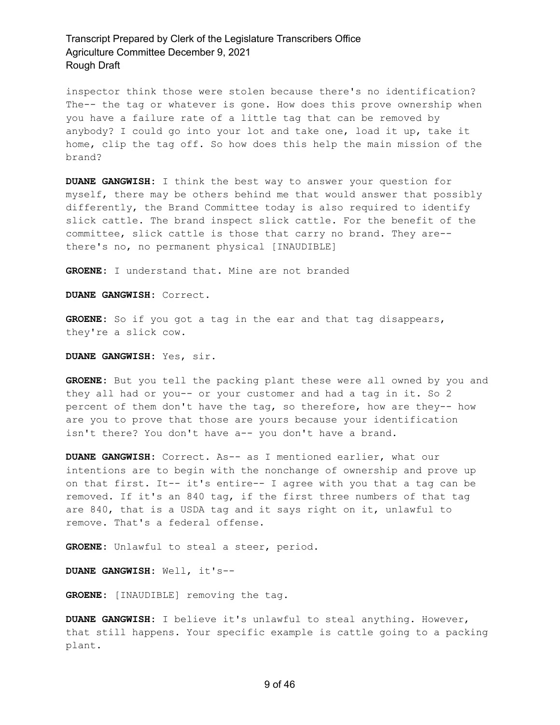inspector think those were stolen because there's no identification? The-- the tag or whatever is gone. How does this prove ownership when you have a failure rate of a little tag that can be removed by anybody? I could go into your lot and take one, load it up, take it home, clip the tag off. So how does this help the main mission of the brand?

**DUANE GANGWISH:** I think the best way to answer your question for myself, there may be others behind me that would answer that possibly differently, the Brand Committee today is also required to identify slick cattle. The brand inspect slick cattle. For the benefit of the committee, slick cattle is those that carry no brand. They are- there's no, no permanent physical [INAUDIBLE]

**GROENE:** I understand that. Mine are not branded

**DUANE GANGWISH:** Correct.

**GROENE:** So if you got a tag in the ear and that tag disappears, they're a slick cow.

**DUANE GANGWISH:** Yes, sir.

**GROENE:** But you tell the packing plant these were all owned by you and they all had or you-- or your customer and had a tag in it. So 2 percent of them don't have the tag, so therefore, how are they-- how are you to prove that those are yours because your identification isn't there? You don't have a-- you don't have a brand.

**DUANE GANGWISH:** Correct. As-- as I mentioned earlier, what our intentions are to begin with the nonchange of ownership and prove up on that first. It-- it's entire-- I agree with you that a tag can be removed. If it's an 840 tag, if the first three numbers of that tag are 840, that is a USDA tag and it says right on it, unlawful to remove. That's a federal offense.

**GROENE:** Unlawful to steal a steer, period.

**DUANE GANGWISH:** Well, it's--

**GROENE:** [INAUDIBLE] removing the tag.

**DUANE GANGWISH:** I believe it's unlawful to steal anything. However, that still happens. Your specific example is cattle going to a packing plant.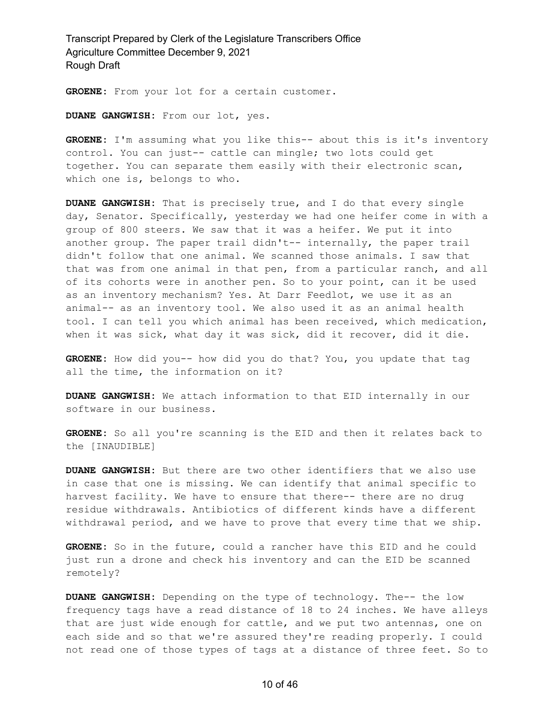**GROENE:** From your lot for a certain customer.

**DUANE GANGWISH:** From our lot, yes.

**GROENE:** I'm assuming what you like this-- about this is it's inventory control. You can just-- cattle can mingle; two lots could get together. You can separate them easily with their electronic scan, which one is, belongs to who.

**DUANE GANGWISH:** That is precisely true, and I do that every single day, Senator. Specifically, yesterday we had one heifer come in with a group of 800 steers. We saw that it was a heifer. We put it into another group. The paper trail didn't-- internally, the paper trail didn't follow that one animal. We scanned those animals. I saw that that was from one animal in that pen, from a particular ranch, and all of its cohorts were in another pen. So to your point, can it be used as an inventory mechanism? Yes. At Darr Feedlot, we use it as an animal-- as an inventory tool. We also used it as an animal health tool. I can tell you which animal has been received, which medication, when it was sick, what day it was sick, did it recover, did it die.

**GROENE:** How did you-- how did you do that? You, you update that tag all the time, the information on it?

**DUANE GANGWISH:** We attach information to that EID internally in our software in our business.

**GROENE:** So all you're scanning is the EID and then it relates back to the [INAUDIBLE]

**DUANE GANGWISH:** But there are two other identifiers that we also use in case that one is missing. We can identify that animal specific to harvest facility. We have to ensure that there-- there are no drug residue withdrawals. Antibiotics of different kinds have a different withdrawal period, and we have to prove that every time that we ship.

**GROENE:** So in the future, could a rancher have this EID and he could just run a drone and check his inventory and can the EID be scanned remotely?

**DUANE GANGWISH:** Depending on the type of technology. The-- the low frequency tags have a read distance of 18 to 24 inches. We have alleys that are just wide enough for cattle, and we put two antennas, one on each side and so that we're assured they're reading properly. I could not read one of those types of tags at a distance of three feet. So to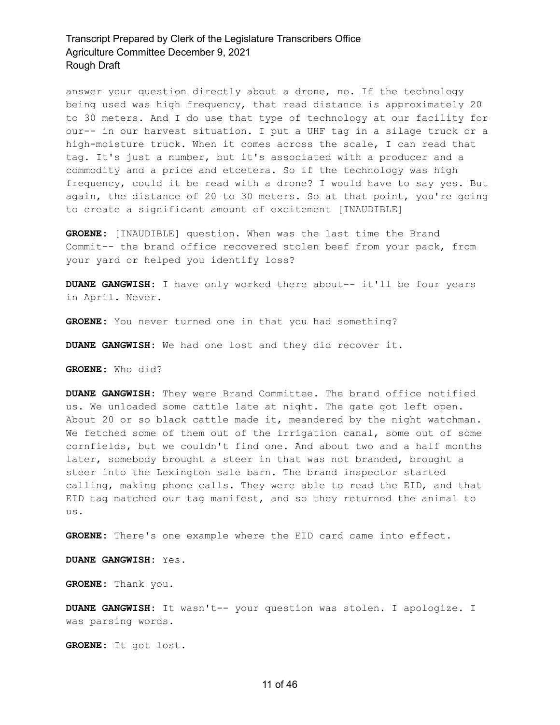answer your question directly about a drone, no. If the technology being used was high frequency, that read distance is approximately 20 to 30 meters. And I do use that type of technology at our facility for our-- in our harvest situation. I put a UHF tag in a silage truck or a high-moisture truck. When it comes across the scale, I can read that tag. It's just a number, but it's associated with a producer and a commodity and a price and etcetera. So if the technology was high frequency, could it be read with a drone? I would have to say yes. But again, the distance of 20 to 30 meters. So at that point, you're going to create a significant amount of excitement [INAUDIBLE]

**GROENE:** [INAUDIBLE] question. When was the last time the Brand Commit-- the brand office recovered stolen beef from your pack, from your yard or helped you identify loss?

**DUANE GANGWISH:** I have only worked there about-- it'll be four years in April. Never.

**GROENE:** You never turned one in that you had something?

**DUANE GANGWISH:** We had one lost and they did recover it.

**GROENE:** Who did?

**DUANE GANGWISH:** They were Brand Committee. The brand office notified us. We unloaded some cattle late at night. The gate got left open. About 20 or so black cattle made it, meandered by the night watchman. We fetched some of them out of the irrigation canal, some out of some cornfields, but we couldn't find one. And about two and a half months later, somebody brought a steer in that was not branded, brought a steer into the Lexington sale barn. The brand inspector started calling, making phone calls. They were able to read the EID, and that EID tag matched our tag manifest, and so they returned the animal to us.

**GROENE:** There's one example where the EID card came into effect.

**DUANE GANGWISH:** Yes.

**GROENE:** Thank you.

**DUANE GANGWISH:** It wasn't-- your question was stolen. I apologize. I was parsing words.

**GROENE:** It got lost.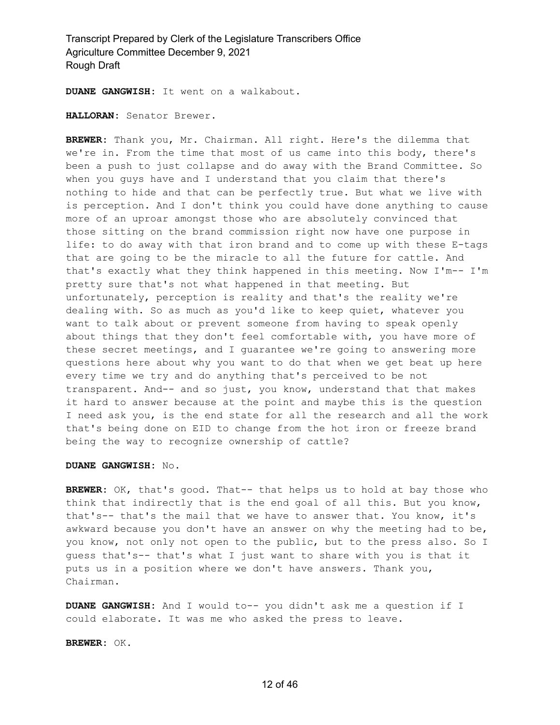**DUANE GANGWISH:** It went on a walkabout.

**HALLORAN:** Senator Brewer.

**BREWER:** Thank you, Mr. Chairman. All right. Here's the dilemma that we're in. From the time that most of us came into this body, there's been a push to just collapse and do away with the Brand Committee. So when you guys have and I understand that you claim that there's nothing to hide and that can be perfectly true. But what we live with is perception. And I don't think you could have done anything to cause more of an uproar amongst those who are absolutely convinced that those sitting on the brand commission right now have one purpose in life: to do away with that iron brand and to come up with these E-tags that are going to be the miracle to all the future for cattle. And that's exactly what they think happened in this meeting. Now I'm-- I'm pretty sure that's not what happened in that meeting. But unfortunately, perception is reality and that's the reality we're dealing with. So as much as you'd like to keep quiet, whatever you want to talk about or prevent someone from having to speak openly about things that they don't feel comfortable with, you have more of these secret meetings, and I guarantee we're going to answering more questions here about why you want to do that when we get beat up here every time we try and do anything that's perceived to be not transparent. And-- and so just, you know, understand that that makes it hard to answer because at the point and maybe this is the question I need ask you, is the end state for all the research and all the work that's being done on EID to change from the hot iron or freeze brand being the way to recognize ownership of cattle?

### **DUANE GANGWISH:** No.

**BREWER:** OK, that's good. That-- that helps us to hold at bay those who think that indirectly that is the end goal of all this. But you know, that's-- that's the mail that we have to answer that. You know, it's awkward because you don't have an answer on why the meeting had to be, you know, not only not open to the public, but to the press also. So I guess that's-- that's what I just want to share with you is that it puts us in a position where we don't have answers. Thank you, Chairman.

**DUANE GANGWISH:** And I would to-- you didn't ask me a question if I could elaborate. It was me who asked the press to leave.

**BREWER:** OK.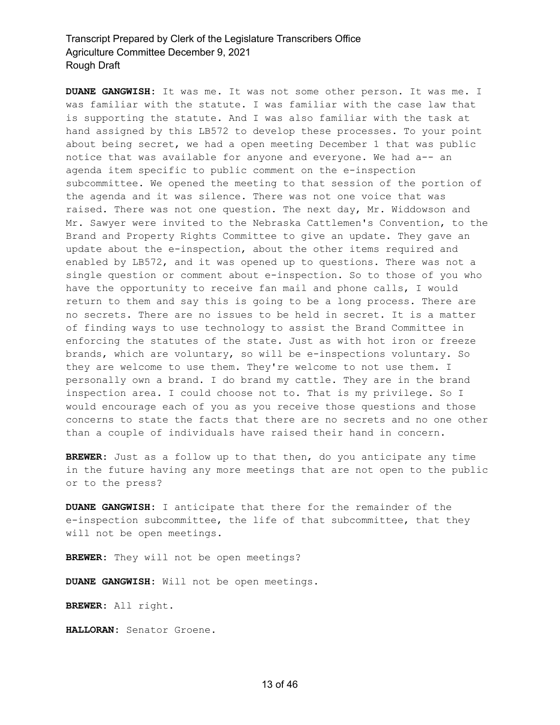**DUANE GANGWISH:** It was me. It was not some other person. It was me. I was familiar with the statute. I was familiar with the case law that is supporting the statute. And I was also familiar with the task at hand assigned by this LB572 to develop these processes. To your point about being secret, we had a open meeting December 1 that was public notice that was available for anyone and everyone. We had a-- an agenda item specific to public comment on the e-inspection subcommittee. We opened the meeting to that session of the portion of the agenda and it was silence. There was not one voice that was raised. There was not one question. The next day, Mr. Widdowson and Mr. Sawyer were invited to the Nebraska Cattlemen's Convention, to the Brand and Property Rights Committee to give an update. They gave an update about the e-inspection, about the other items required and enabled by LB572, and it was opened up to questions. There was not a single question or comment about e-inspection. So to those of you who have the opportunity to receive fan mail and phone calls, I would return to them and say this is going to be a long process. There are no secrets. There are no issues to be held in secret. It is a matter of finding ways to use technology to assist the Brand Committee in enforcing the statutes of the state. Just as with hot iron or freeze brands, which are voluntary, so will be e-inspections voluntary. So they are welcome to use them. They're welcome to not use them. I personally own a brand. I do brand my cattle. They are in the brand inspection area. I could choose not to. That is my privilege. So I would encourage each of you as you receive those questions and those concerns to state the facts that there are no secrets and no one other than a couple of individuals have raised their hand in concern.

**BREWER:** Just as a follow up to that then, do you anticipate any time in the future having any more meetings that are not open to the public or to the press?

**DUANE GANGWISH:** I anticipate that there for the remainder of the e-inspection subcommittee, the life of that subcommittee, that they will not be open meetings.

**BREWER:** They will not be open meetings?

**DUANE GANGWISH:** Will not be open meetings.

**BREWER:** All right.

**HALLORAN:** Senator Groene.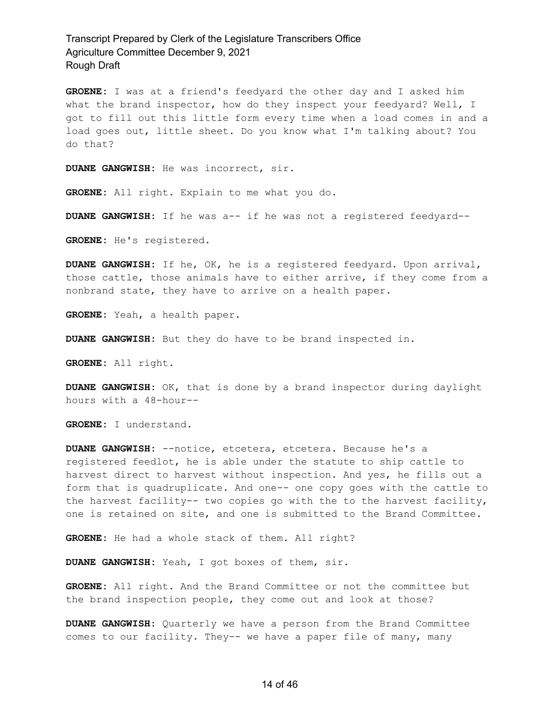**GROENE:** I was at a friend's feedyard the other day and I asked him what the brand inspector, how do they inspect your feedyard? Well, I got to fill out this little form every time when a load comes in and a load goes out, little sheet. Do you know what I'm talking about? You do that?

**DUANE GANGWISH:** He was incorrect, sir.

**GROENE:** All right. Explain to me what you do.

**DUANE GANGWISH:** If he was a-- if he was not a registered feedyard--

**GROENE:** He's registered.

**DUANE GANGWISH:** If he, OK, he is a registered feedyard. Upon arrival, those cattle, those animals have to either arrive, if they come from a nonbrand state, they have to arrive on a health paper.

**GROENE:** Yeah, a health paper.

**DUANE GANGWISH:** But they do have to be brand inspected in.

**GROENE:** All right.

**DUANE GANGWISH:** OK, that is done by a brand inspector during daylight hours with a 48-hour--

**GROENE:** I understand.

**DUANE GANGWISH:** --notice, etcetera, etcetera. Because he's a registered feedlot, he is able under the statute to ship cattle to harvest direct to harvest without inspection. And yes, he fills out a form that is quadruplicate. And one-- one copy goes with the cattle to the harvest facility-- two copies go with the to the harvest facility, one is retained on site, and one is submitted to the Brand Committee.

**GROENE:** He had a whole stack of them. All right?

**DUANE GANGWISH:** Yeah, I got boxes of them, sir.

**GROENE:** All right. And the Brand Committee or not the committee but the brand inspection people, they come out and look at those?

**DUANE GANGWISH:** Quarterly we have a person from the Brand Committee comes to our facility. They-- we have a paper file of many, many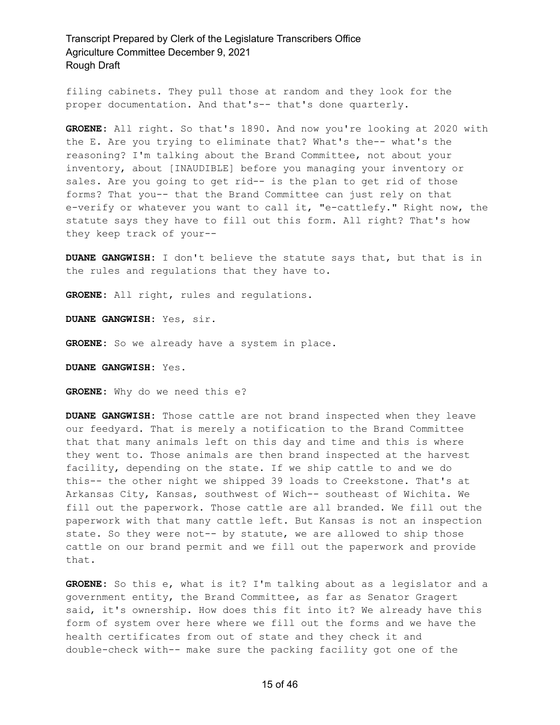filing cabinets. They pull those at random and they look for the proper documentation. And that's-- that's done quarterly.

**GROENE:** All right. So that's 1890. And now you're looking at 2020 with the E. Are you trying to eliminate that? What's the-- what's the reasoning? I'm talking about the Brand Committee, not about your inventory, about [INAUDIBLE] before you managing your inventory or sales. Are you going to get rid-- is the plan to get rid of those forms? That you-- that the Brand Committee can just rely on that e-verify or whatever you want to call it, "e-cattlefy." Right now, the statute says they have to fill out this form. All right? That's how they keep track of your--

**DUANE GANGWISH:** I don't believe the statute says that, but that is in the rules and regulations that they have to.

**GROENE:** All right, rules and regulations.

**DUANE GANGWISH:** Yes, sir.

**GROENE:** So we already have a system in place.

**DUANE GANGWISH:** Yes.

**GROENE:** Why do we need this e?

**DUANE GANGWISH:** Those cattle are not brand inspected when they leave our feedyard. That is merely a notification to the Brand Committee that that many animals left on this day and time and this is where they went to. Those animals are then brand inspected at the harvest facility, depending on the state. If we ship cattle to and we do this-- the other night we shipped 39 loads to Creekstone. That's at Arkansas City, Kansas, southwest of Wich-- southeast of Wichita. We fill out the paperwork. Those cattle are all branded. We fill out the paperwork with that many cattle left. But Kansas is not an inspection state. So they were not-- by statute, we are allowed to ship those cattle on our brand permit and we fill out the paperwork and provide that.

**GROENE:** So this e, what is it? I'm talking about as a legislator and a government entity, the Brand Committee, as far as Senator Gragert said, it's ownership. How does this fit into it? We already have this form of system over here where we fill out the forms and we have the health certificates from out of state and they check it and double-check with-- make sure the packing facility got one of the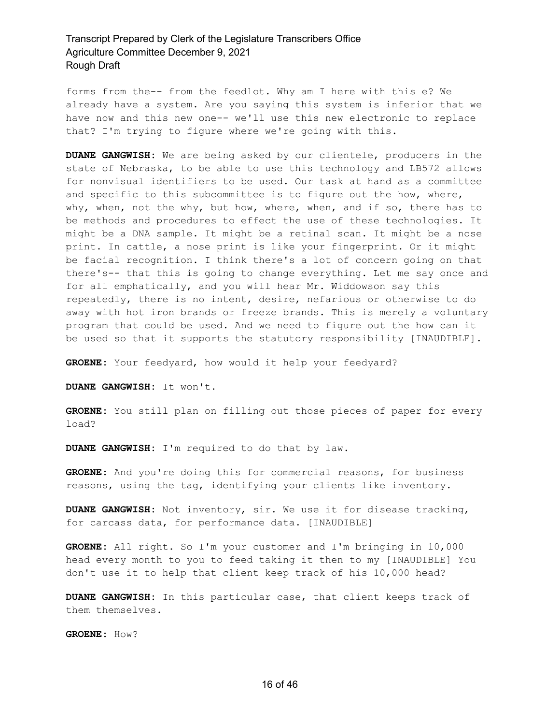forms from the-- from the feedlot. Why am I here with this e? We already have a system. Are you saying this system is inferior that we have now and this new one-- we'll use this new electronic to replace that? I'm trying to figure where we're going with this.

**DUANE GANGWISH:** We are being asked by our clientele, producers in the state of Nebraska, to be able to use this technology and LB572 allows for nonvisual identifiers to be used. Our task at hand as a committee and specific to this subcommittee is to figure out the how, where, why, when, not the why, but how, where, when, and if so, there has to be methods and procedures to effect the use of these technologies. It might be a DNA sample. It might be a retinal scan. It might be a nose print. In cattle, a nose print is like your fingerprint. Or it might be facial recognition. I think there's a lot of concern going on that there's-- that this is going to change everything. Let me say once and for all emphatically, and you will hear Mr. Widdowson say this repeatedly, there is no intent, desire, nefarious or otherwise to do away with hot iron brands or freeze brands. This is merely a voluntary program that could be used. And we need to figure out the how can it be used so that it supports the statutory responsibility [INAUDIBLE].

**GROENE:** Your feedyard, how would it help your feedyard?

**DUANE GANGWISH:** It won't.

**GROENE:** You still plan on filling out those pieces of paper for every load?

**DUANE GANGWISH:** I'm required to do that by law.

**GROENE:** And you're doing this for commercial reasons, for business reasons, using the tag, identifying your clients like inventory.

**DUANE GANGWISH:** Not inventory, sir. We use it for disease tracking, for carcass data, for performance data. [INAUDIBLE]

**GROENE:** All right. So I'm your customer and I'm bringing in 10,000 head every month to you to feed taking it then to my [INAUDIBLE] You don't use it to help that client keep track of his 10,000 head?

**DUANE GANGWISH:** In this particular case, that client keeps track of them themselves.

**GROENE:** How?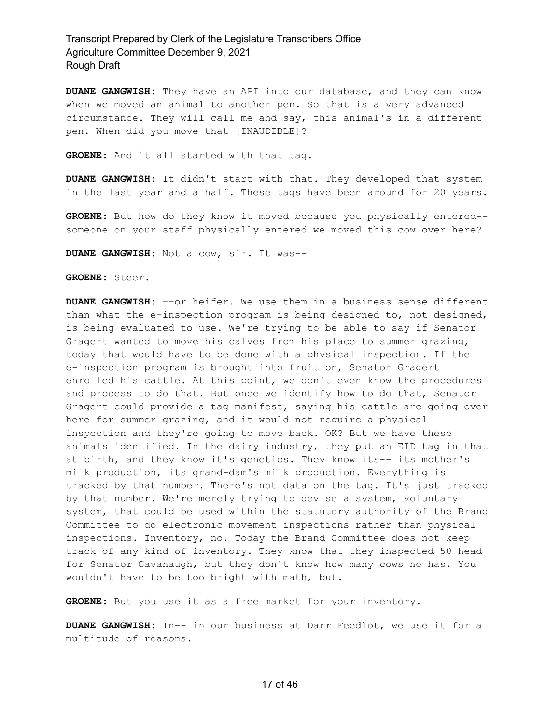**DUANE GANGWISH:** They have an API into our database, and they can know when we moved an animal to another pen. So that is a very advanced circumstance. They will call me and say, this animal's in a different pen. When did you move that [INAUDIBLE]?

**GROENE:** And it all started with that tag.

**DUANE GANGWISH:** It didn't start with that. They developed that system in the last year and a half. These tags have been around for 20 years.

**GROENE:** But how do they know it moved because you physically entered- someone on your staff physically entered we moved this cow over here?

**DUANE GANGWISH:** Not a cow, sir. It was--

**GROENE:** Steer.

**DUANE GANGWISH:** --or heifer. We use them in a business sense different than what the e-inspection program is being designed to, not designed, is being evaluated to use. We're trying to be able to say if Senator Gragert wanted to move his calves from his place to summer grazing, today that would have to be done with a physical inspection. If the e-inspection program is brought into fruition, Senator Gragert enrolled his cattle. At this point, we don't even know the procedures and process to do that. But once we identify how to do that, Senator Gragert could provide a tag manifest, saying his cattle are going over here for summer grazing, and it would not require a physical inspection and they're going to move back. OK? But we have these animals identified. In the dairy industry, they put an EID tag in that at birth, and they know it's genetics. They know its-- its mother's milk production, its grand-dam's milk production. Everything is tracked by that number. There's not data on the tag. It's just tracked by that number. We're merely trying to devise a system, voluntary system, that could be used within the statutory authority of the Brand Committee to do electronic movement inspections rather than physical inspections. Inventory, no. Today the Brand Committee does not keep track of any kind of inventory. They know that they inspected 50 head for Senator Cavanaugh, but they don't know how many cows he has. You wouldn't have to be too bright with math, but.

**GROENE:** But you use it as a free market for your inventory.

**DUANE GANGWISH:** In-- in our business at Darr Feedlot, we use it for a multitude of reasons.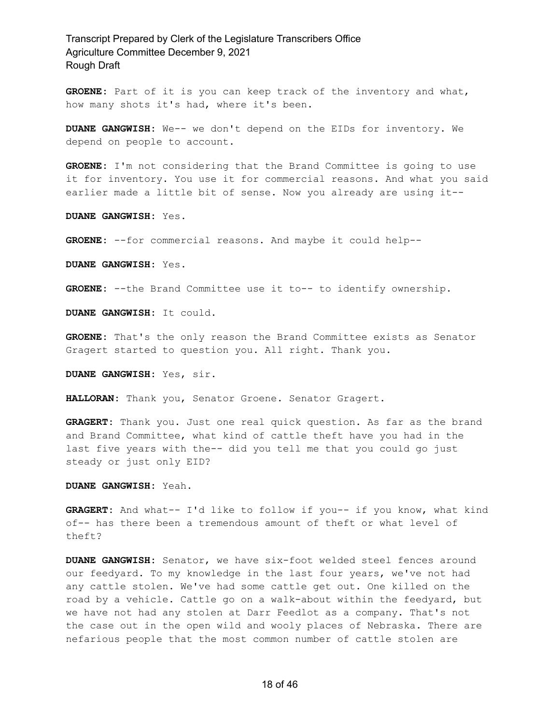**GROENE:** Part of it is you can keep track of the inventory and what, how many shots it's had, where it's been.

**DUANE GANGWISH:** We-- we don't depend on the EIDs for inventory. We depend on people to account.

**GROENE:** I'm not considering that the Brand Committee is going to use it for inventory. You use it for commercial reasons. And what you said earlier made a little bit of sense. Now you already are using it--

**DUANE GANGWISH:** Yes.

**GROENE:** --for commercial reasons. And maybe it could help--

**DUANE GANGWISH:** Yes.

**GROENE:** --the Brand Committee use it to-- to identify ownership.

**DUANE GANGWISH:** It could.

**GROENE:** That's the only reason the Brand Committee exists as Senator Gragert started to question you. All right. Thank you.

**DUANE GANGWISH:** Yes, sir.

**HALLORAN:** Thank you, Senator Groene. Senator Gragert.

**GRAGERT:** Thank you. Just one real quick question. As far as the brand and Brand Committee, what kind of cattle theft have you had in the last five years with the-- did you tell me that you could go just steady or just only EID?

**DUANE GANGWISH:** Yeah.

**GRAGERT:** And what-- I'd like to follow if you-- if you know, what kind of-- has there been a tremendous amount of theft or what level of theft?

**DUANE GANGWISH:** Senator, we have six-foot welded steel fences around our feedyard. To my knowledge in the last four years, we've not had any cattle stolen. We've had some cattle get out. One killed on the road by a vehicle. Cattle go on a walk-about within the feedyard, but we have not had any stolen at Darr Feedlot as a company. That's not the case out in the open wild and wooly places of Nebraska. There are nefarious people that the most common number of cattle stolen are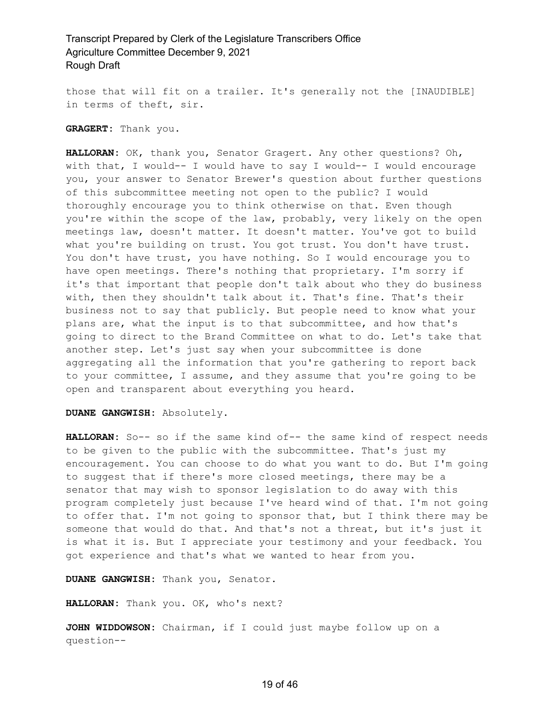those that will fit on a trailer. It's generally not the [INAUDIBLE] in terms of theft, sir.

### **GRAGERT:** Thank you.

**HALLORAN:** OK, thank you, Senator Gragert. Any other questions? Oh, with that, I would-- I would have to say I would-- I would encourage you, your answer to Senator Brewer's question about further questions of this subcommittee meeting not open to the public? I would thoroughly encourage you to think otherwise on that. Even though you're within the scope of the law, probably, very likely on the open meetings law, doesn't matter. It doesn't matter. You've got to build what you're building on trust. You got trust. You don't have trust. You don't have trust, you have nothing. So I would encourage you to have open meetings. There's nothing that proprietary. I'm sorry if it's that important that people don't talk about who they do business with, then they shouldn't talk about it. That's fine. That's their business not to say that publicly. But people need to know what your plans are, what the input is to that subcommittee, and how that's going to direct to the Brand Committee on what to do. Let's take that another step. Let's just say when your subcommittee is done aggregating all the information that you're gathering to report back to your committee, I assume, and they assume that you're going to be open and transparent about everything you heard.

### **DUANE GANGWISH:** Absolutely.

**HALLORAN:** So-- so if the same kind of-- the same kind of respect needs to be given to the public with the subcommittee. That's just my encouragement. You can choose to do what you want to do. But I'm going to suggest that if there's more closed meetings, there may be a senator that may wish to sponsor legislation to do away with this program completely just because I've heard wind of that. I'm not going to offer that. I'm not going to sponsor that, but I think there may be someone that would do that. And that's not a threat, but it's just it is what it is. But I appreciate your testimony and your feedback. You got experience and that's what we wanted to hear from you.

**DUANE GANGWISH:** Thank you, Senator.

**HALLORAN:** Thank you. OK, who's next?

**JOHN WIDDOWSON:** Chairman, if I could just maybe follow up on a question--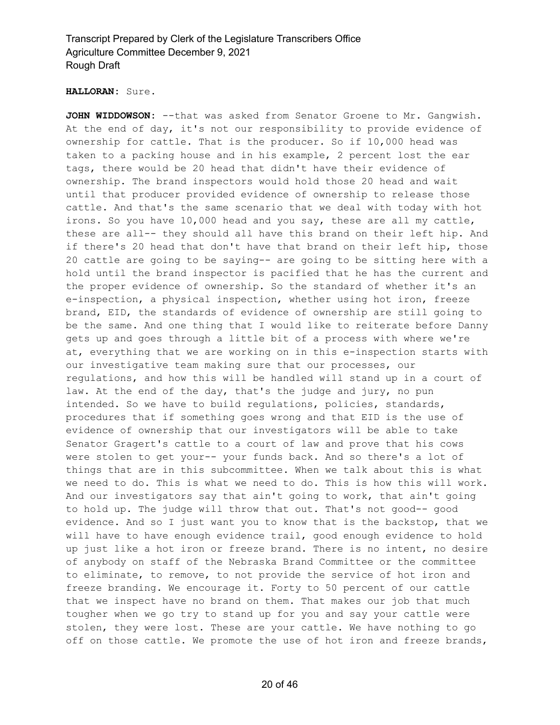### **HALLORAN:** Sure.

**JOHN WIDDOWSON:** --that was asked from Senator Groene to Mr. Gangwish. At the end of day, it's not our responsibility to provide evidence of ownership for cattle. That is the producer. So if 10,000 head was taken to a packing house and in his example, 2 percent lost the ear tags, there would be 20 head that didn't have their evidence of ownership. The brand inspectors would hold those 20 head and wait until that producer provided evidence of ownership to release those cattle. And that's the same scenario that we deal with today with hot irons. So you have 10,000 head and you say, these are all my cattle, these are all-- they should all have this brand on their left hip. And if there's 20 head that don't have that brand on their left hip, those 20 cattle are going to be saying-- are going to be sitting here with a hold until the brand inspector is pacified that he has the current and the proper evidence of ownership. So the standard of whether it's an e-inspection, a physical inspection, whether using hot iron, freeze brand, EID, the standards of evidence of ownership are still going to be the same. And one thing that I would like to reiterate before Danny gets up and goes through a little bit of a process with where we're at, everything that we are working on in this e-inspection starts with our investigative team making sure that our processes, our regulations, and how this will be handled will stand up in a court of law. At the end of the day, that's the judge and jury, no pun intended. So we have to build regulations, policies, standards, procedures that if something goes wrong and that EID is the use of evidence of ownership that our investigators will be able to take Senator Gragert's cattle to a court of law and prove that his cows were stolen to get your-- your funds back. And so there's a lot of things that are in this subcommittee. When we talk about this is what we need to do. This is what we need to do. This is how this will work. And our investigators say that ain't going to work, that ain't going to hold up. The judge will throw that out. That's not good-- good evidence. And so I just want you to know that is the backstop, that we will have to have enough evidence trail, good enough evidence to hold up just like a hot iron or freeze brand. There is no intent, no desire of anybody on staff of the Nebraska Brand Committee or the committee to eliminate, to remove, to not provide the service of hot iron and freeze branding. We encourage it. Forty to 50 percent of our cattle that we inspect have no brand on them. That makes our job that much tougher when we go try to stand up for you and say your cattle were stolen, they were lost. These are your cattle. We have nothing to go off on those cattle. We promote the use of hot iron and freeze brands,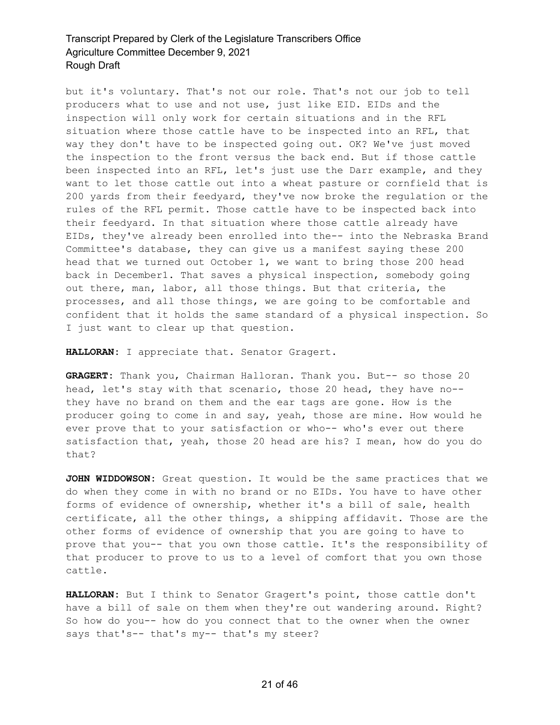but it's voluntary. That's not our role. That's not our job to tell producers what to use and not use, just like EID. EIDs and the inspection will only work for certain situations and in the RFL situation where those cattle have to be inspected into an RFL, that way they don't have to be inspected going out. OK? We've just moved the inspection to the front versus the back end. But if those cattle been inspected into an RFL, let's just use the Darr example, and they want to let those cattle out into a wheat pasture or cornfield that is 200 yards from their feedyard, they've now broke the regulation or the rules of the RFL permit. Those cattle have to be inspected back into their feedyard. In that situation where those cattle already have EIDs, they've already been enrolled into the-- into the Nebraska Brand Committee's database, they can give us a manifest saying these 200 head that we turned out October 1, we want to bring those 200 head back in December1. That saves a physical inspection, somebody going out there, man, labor, all those things. But that criteria, the processes, and all those things, we are going to be comfortable and confident that it holds the same standard of a physical inspection. So I just want to clear up that question.

**HALLORAN:** I appreciate that. Senator Gragert.

**GRAGERT:** Thank you, Chairman Halloran. Thank you. But-- so those 20 head, let's stay with that scenario, those 20 head, they have no- they have no brand on them and the ear tags are gone. How is the producer going to come in and say, yeah, those are mine. How would he ever prove that to your satisfaction or who-- who's ever out there satisfaction that, yeah, those 20 head are his? I mean, how do you do that?

**JOHN WIDDOWSON:** Great question. It would be the same practices that we do when they come in with no brand or no EIDs. You have to have other forms of evidence of ownership, whether it's a bill of sale, health certificate, all the other things, a shipping affidavit. Those are the other forms of evidence of ownership that you are going to have to prove that you-- that you own those cattle. It's the responsibility of that producer to prove to us to a level of comfort that you own those cattle.

**HALLORAN:** But I think to Senator Gragert's point, those cattle don't have a bill of sale on them when they're out wandering around. Right? So how do you-- how do you connect that to the owner when the owner says that's-- that's my-- that's my steer?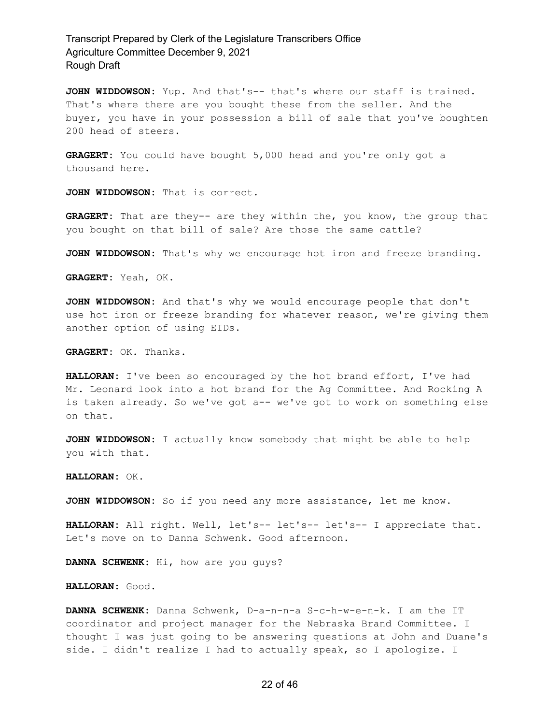**JOHN WIDDOWSON:** Yup. And that's-- that's where our staff is trained. That's where there are you bought these from the seller. And the buyer, you have in your possession a bill of sale that you've boughten 200 head of steers.

**GRAGERT:** You could have bought 5,000 head and you're only got a thousand here.

**JOHN WIDDOWSON:** That is correct.

**GRAGERT:** That are they-- are they within the, you know, the group that you bought on that bill of sale? Are those the same cattle?

**JOHN WIDDOWSON:** That's why we encourage hot iron and freeze branding.

**GRAGERT:** Yeah, OK.

**JOHN WIDDOWSON:** And that's why we would encourage people that don't use hot iron or freeze branding for whatever reason, we're giving them another option of using EIDs.

**GRAGERT:** OK. Thanks.

**HALLORAN:** I've been so encouraged by the hot brand effort, I've had Mr. Leonard look into a hot brand for the Ag Committee. And Rocking A is taken already. So we've got a-- we've got to work on something else on that.

**JOHN WIDDOWSON:** I actually know somebody that might be able to help you with that.

#### **HALLORAN:** OK.

**JOHN WIDDOWSON:** So if you need any more assistance, let me know.

**HALLORAN:** All right. Well, let's-- let's-- let's-- I appreciate that. Let's move on to Danna Schwenk. Good afternoon.

**DANNA SCHWENK:** Hi, how are you guys?

#### **HALLORAN:** Good.

**DANNA SCHWENK:** Danna Schwenk, D-a-n-n-a S-c-h-w-e-n-k. I am the IT coordinator and project manager for the Nebraska Brand Committee. I thought I was just going to be answering questions at John and Duane's side. I didn't realize I had to actually speak, so I apologize. I

### 22 of 46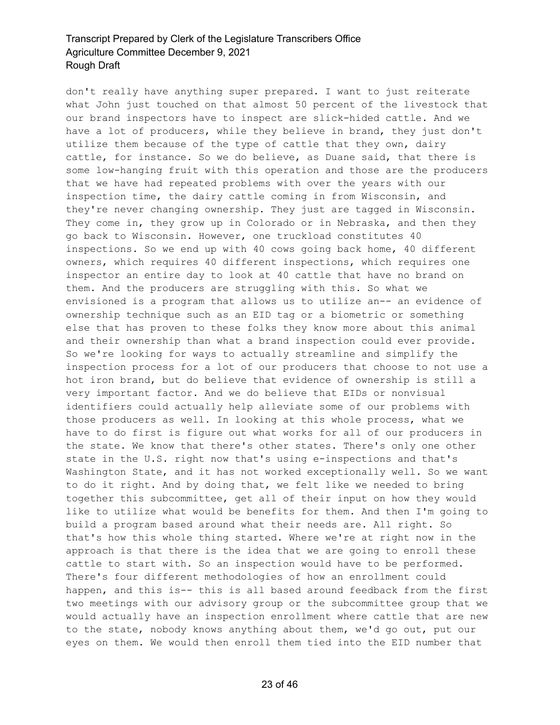don't really have anything super prepared. I want to just reiterate what John just touched on that almost 50 percent of the livestock that our brand inspectors have to inspect are slick-hided cattle. And we have a lot of producers, while they believe in brand, they just don't utilize them because of the type of cattle that they own, dairy cattle, for instance. So we do believe, as Duane said, that there is some low-hanging fruit with this operation and those are the producers that we have had repeated problems with over the years with our inspection time, the dairy cattle coming in from Wisconsin, and they're never changing ownership. They just are tagged in Wisconsin. They come in, they grow up in Colorado or in Nebraska, and then they go back to Wisconsin. However, one truckload constitutes 40 inspections. So we end up with 40 cows going back home, 40 different owners, which requires 40 different inspections, which requires one inspector an entire day to look at 40 cattle that have no brand on them. And the producers are struggling with this. So what we envisioned is a program that allows us to utilize an-- an evidence of ownership technique such as an EID tag or a biometric or something else that has proven to these folks they know more about this animal and their ownership than what a brand inspection could ever provide. So we're looking for ways to actually streamline and simplify the inspection process for a lot of our producers that choose to not use a hot iron brand, but do believe that evidence of ownership is still a very important factor. And we do believe that EIDs or nonvisual identifiers could actually help alleviate some of our problems with those producers as well. In looking at this whole process, what we have to do first is figure out what works for all of our producers in the state. We know that there's other states. There's only one other state in the U.S. right now that's using e-inspections and that's Washington State, and it has not worked exceptionally well. So we want to do it right. And by doing that, we felt like we needed to bring together this subcommittee, get all of their input on how they would like to utilize what would be benefits for them. And then I'm going to build a program based around what their needs are. All right. So that's how this whole thing started. Where we're at right now in the approach is that there is the idea that we are going to enroll these cattle to start with. So an inspection would have to be performed. There's four different methodologies of how an enrollment could happen, and this is-- this is all based around feedback from the first two meetings with our advisory group or the subcommittee group that we would actually have an inspection enrollment where cattle that are new to the state, nobody knows anything about them, we'd go out, put our eyes on them. We would then enroll them tied into the EID number that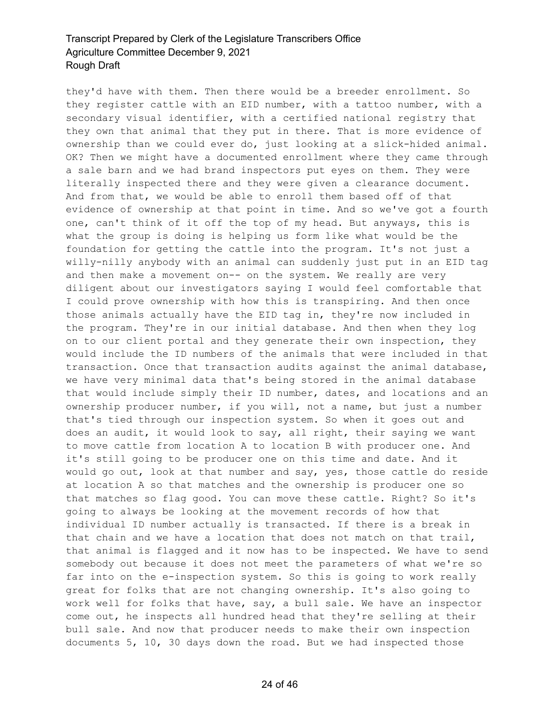they'd have with them. Then there would be a breeder enrollment. So they register cattle with an EID number, with a tattoo number, with a secondary visual identifier, with a certified national registry that they own that animal that they put in there. That is more evidence of ownership than we could ever do, just looking at a slick-hided animal. OK? Then we might have a documented enrollment where they came through a sale barn and we had brand inspectors put eyes on them. They were literally inspected there and they were given a clearance document. And from that, we would be able to enroll them based off of that evidence of ownership at that point in time. And so we've got a fourth one, can't think of it off the top of my head. But anyways, this is what the group is doing is helping us form like what would be the foundation for getting the cattle into the program. It's not just a willy-nilly anybody with an animal can suddenly just put in an EID tag and then make a movement on-- on the system. We really are very diligent about our investigators saying I would feel comfortable that I could prove ownership with how this is transpiring. And then once those animals actually have the EID tag in, they're now included in the program. They're in our initial database. And then when they log on to our client portal and they generate their own inspection, they would include the ID numbers of the animals that were included in that transaction. Once that transaction audits against the animal database, we have very minimal data that's being stored in the animal database that would include simply their ID number, dates, and locations and an ownership producer number, if you will, not a name, but just a number that's tied through our inspection system. So when it goes out and does an audit, it would look to say, all right, their saying we want to move cattle from location A to location B with producer one. And it's still going to be producer one on this time and date. And it would go out, look at that number and say, yes, those cattle do reside at location A so that matches and the ownership is producer one so that matches so flag good. You can move these cattle. Right? So it's going to always be looking at the movement records of how that individual ID number actually is transacted. If there is a break in that chain and we have a location that does not match on that trail, that animal is flagged and it now has to be inspected. We have to send somebody out because it does not meet the parameters of what we're so far into on the e-inspection system. So this is going to work really great for folks that are not changing ownership. It's also going to work well for folks that have, say, a bull sale. We have an inspector come out, he inspects all hundred head that they're selling at their bull sale. And now that producer needs to make their own inspection documents 5, 10, 30 days down the road. But we had inspected those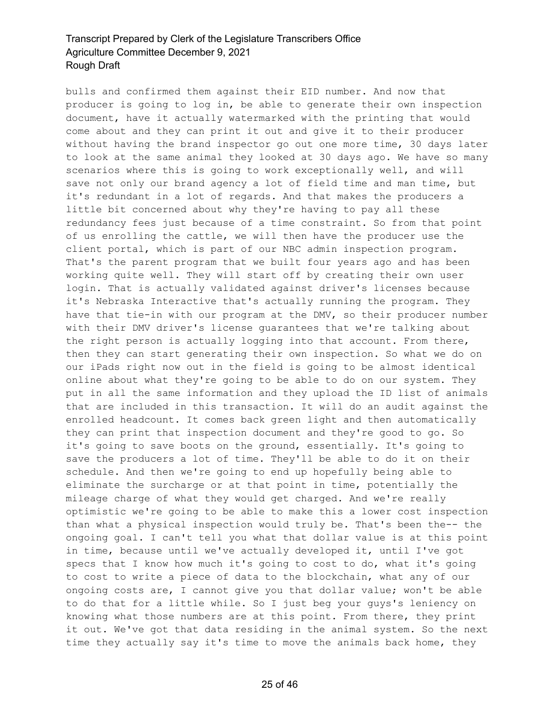bulls and confirmed them against their EID number. And now that producer is going to log in, be able to generate their own inspection document, have it actually watermarked with the printing that would come about and they can print it out and give it to their producer without having the brand inspector go out one more time, 30 days later to look at the same animal they looked at 30 days ago. We have so many scenarios where this is going to work exceptionally well, and will save not only our brand agency a lot of field time and man time, but it's redundant in a lot of regards. And that makes the producers a little bit concerned about why they're having to pay all these redundancy fees just because of a time constraint. So from that point of us enrolling the cattle, we will then have the producer use the client portal, which is part of our NBC admin inspection program. That's the parent program that we built four years ago and has been working quite well. They will start off by creating their own user login. That is actually validated against driver's licenses because it's Nebraska Interactive that's actually running the program. They have that tie-in with our program at the DMV, so their producer number with their DMV driver's license guarantees that we're talking about the right person is actually logging into that account. From there, then they can start generating their own inspection. So what we do on our iPads right now out in the field is going to be almost identical online about what they're going to be able to do on our system. They put in all the same information and they upload the ID list of animals that are included in this transaction. It will do an audit against the enrolled headcount. It comes back green light and then automatically they can print that inspection document and they're good to go. So it's going to save boots on the ground, essentially. It's going to save the producers a lot of time. They'll be able to do it on their schedule. And then we're going to end up hopefully being able to eliminate the surcharge or at that point in time, potentially the mileage charge of what they would get charged. And we're really optimistic we're going to be able to make this a lower cost inspection than what a physical inspection would truly be. That's been the-- the ongoing goal. I can't tell you what that dollar value is at this point in time, because until we've actually developed it, until I've got specs that I know how much it's going to cost to do, what it's going to cost to write a piece of data to the blockchain, what any of our ongoing costs are, I cannot give you that dollar value; won't be able to do that for a little while. So I just beg your guys's leniency on knowing what those numbers are at this point. From there, they print it out. We've got that data residing in the animal system. So the next time they actually say it's time to move the animals back home, they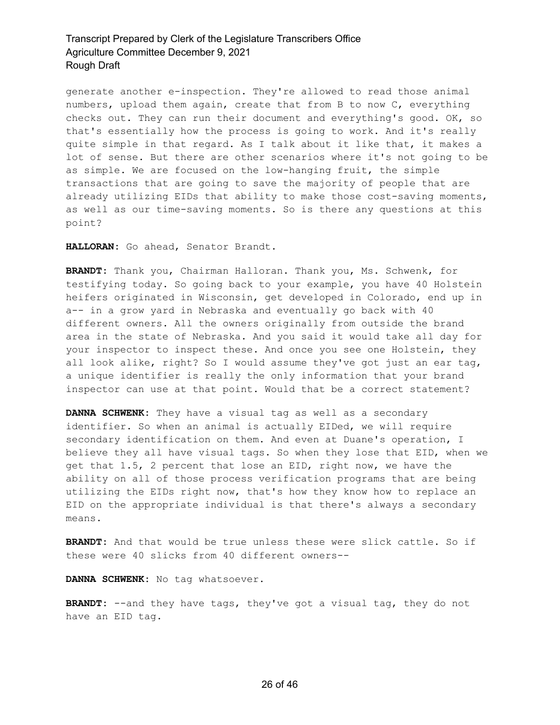generate another e-inspection. They're allowed to read those animal numbers, upload them again, create that from B to now C, everything checks out. They can run their document and everything's good. OK, so that's essentially how the process is going to work. And it's really quite simple in that regard. As I talk about it like that, it makes a lot of sense. But there are other scenarios where it's not going to be as simple. We are focused on the low-hanging fruit, the simple transactions that are going to save the majority of people that are already utilizing EIDs that ability to make those cost-saving moments, as well as our time-saving moments. So is there any questions at this point?

**HALLORAN:** Go ahead, Senator Brandt.

**BRANDT:** Thank you, Chairman Halloran. Thank you, Ms. Schwenk, for testifying today. So going back to your example, you have 40 Holstein heifers originated in Wisconsin, get developed in Colorado, end up in a-- in a grow yard in Nebraska and eventually go back with 40 different owners. All the owners originally from outside the brand area in the state of Nebraska. And you said it would take all day for your inspector to inspect these. And once you see one Holstein, they all look alike, right? So I would assume they've got just an ear tag, a unique identifier is really the only information that your brand inspector can use at that point. Would that be a correct statement?

**DANNA SCHWENK:** They have a visual tag as well as a secondary identifier. So when an animal is actually EIDed, we will require secondary identification on them. And even at Duane's operation, I believe they all have visual tags. So when they lose that EID, when we get that 1.5, 2 percent that lose an EID, right now, we have the ability on all of those process verification programs that are being utilizing the EIDs right now, that's how they know how to replace an EID on the appropriate individual is that there's always a secondary means.

**BRANDT:** And that would be true unless these were slick cattle. So if these were 40 slicks from 40 different owners--

**DANNA SCHWENK:** No tag whatsoever.

**BRANDT:** --and they have tags, they've got a visual tag, they do not have an EID tag.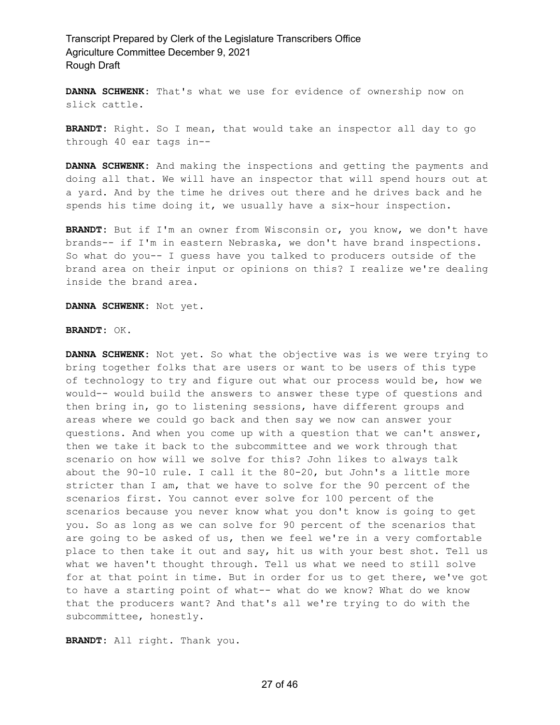**DANNA SCHWENK:** That's what we use for evidence of ownership now on slick cattle.

**BRANDT:** Right. So I mean, that would take an inspector all day to go through 40 ear tags in--

**DANNA SCHWENK:** And making the inspections and getting the payments and doing all that. We will have an inspector that will spend hours out at a yard. And by the time he drives out there and he drives back and he spends his time doing it, we usually have a six-hour inspection.

**BRANDT:** But if I'm an owner from Wisconsin or, you know, we don't have brands-- if I'm in eastern Nebraska, we don't have brand inspections. So what do you-- I guess have you talked to producers outside of the brand area on their input or opinions on this? I realize we're dealing inside the brand area.

**DANNA SCHWENK:** Not yet.

#### **BRANDT:** OK.

**DANNA SCHWENK:** Not yet. So what the objective was is we were trying to bring together folks that are users or want to be users of this type of technology to try and figure out what our process would be, how we would-- would build the answers to answer these type of questions and then bring in, go to listening sessions, have different groups and areas where we could go back and then say we now can answer your questions. And when you come up with a question that we can't answer, then we take it back to the subcommittee and we work through that scenario on how will we solve for this? John likes to always talk about the 90-10 rule. I call it the 80-20, but John's a little more stricter than I am, that we have to solve for the 90 percent of the scenarios first. You cannot ever solve for 100 percent of the scenarios because you never know what you don't know is going to get you. So as long as we can solve for 90 percent of the scenarios that are going to be asked of us, then we feel we're in a very comfortable place to then take it out and say, hit us with your best shot. Tell us what we haven't thought through. Tell us what we need to still solve for at that point in time. But in order for us to get there, we've got to have a starting point of what-- what do we know? What do we know that the producers want? And that's all we're trying to do with the subcommittee, honestly.

**BRANDT:** All right. Thank you.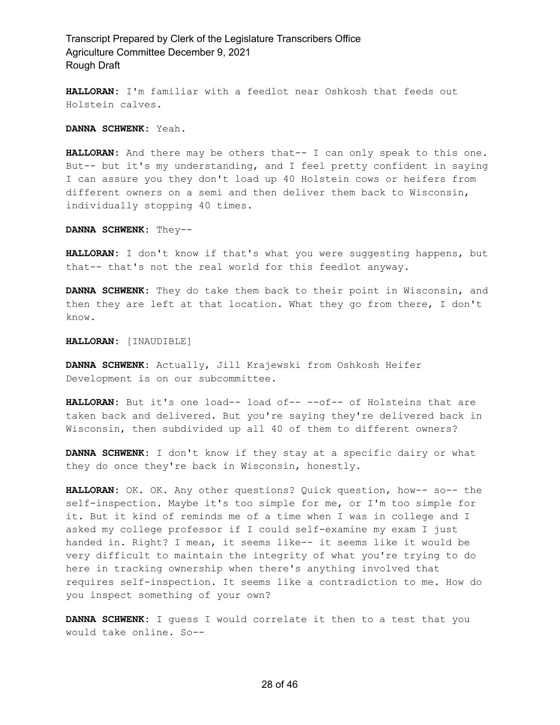**HALLORAN:** I'm familiar with a feedlot near Oshkosh that feeds out Holstein calves.

**DANNA SCHWENK:** Yeah.

**HALLORAN:** And there may be others that-- I can only speak to this one. But-- but it's my understanding, and I feel pretty confident in saying I can assure you they don't load up 40 Holstein cows or heifers from different owners on a semi and then deliver them back to Wisconsin, individually stopping 40 times.

**DANNA SCHWENK:** They--

**HALLORAN:** I don't know if that's what you were suggesting happens, but that-- that's not the real world for this feedlot anyway.

**DANNA SCHWENK:** They do take them back to their point in Wisconsin, and then they are left at that location. What they go from there, I don't know.

**HALLORAN:** [INAUDIBLE]

**DANNA SCHWENK:** Actually, Jill Krajewski from Oshkosh Heifer Development is on our subcommittee.

**HALLORAN:** But it's one load-- load of-- --of-- of Holsteins that are taken back and delivered. But you're saying they're delivered back in Wisconsin, then subdivided up all 40 of them to different owners?

**DANNA SCHWENK:** I don't know if they stay at a specific dairy or what they do once they're back in Wisconsin, honestly.

**HALLORAN:** OK. OK. Any other questions? Quick question, how-- so-- the self-inspection. Maybe it's too simple for me, or I'm too simple for it. But it kind of reminds me of a time when I was in college and I asked my college professor if I could self-examine my exam I just handed in. Right? I mean, it seems like-- it seems like it would be very difficult to maintain the integrity of what you're trying to do here in tracking ownership when there's anything involved that requires self-inspection. It seems like a contradiction to me. How do you inspect something of your own?

**DANNA SCHWENK:** I guess I would correlate it then to a test that you would take online. So--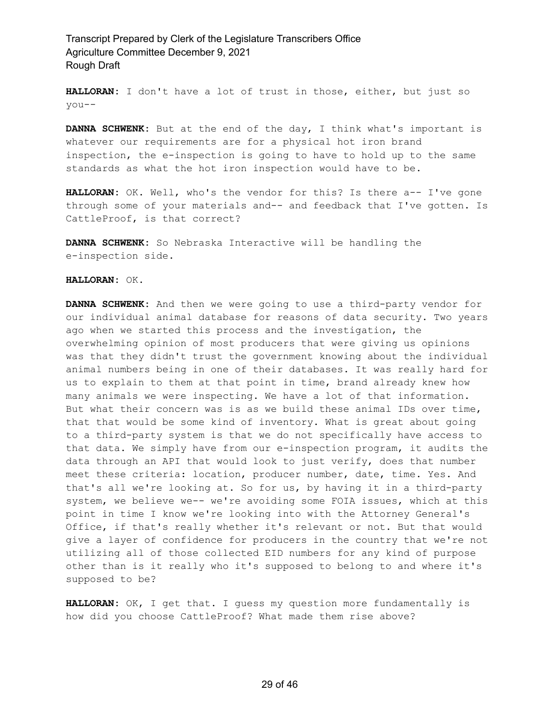**HALLORAN:** I don't have a lot of trust in those, either, but just so you--

**DANNA SCHWENK:** But at the end of the day, I think what's important is whatever our requirements are for a physical hot iron brand inspection, the e-inspection is going to have to hold up to the same standards as what the hot iron inspection would have to be.

**HALLORAN:** OK. Well, who's the vendor for this? Is there a-- I've gone through some of your materials and-- and feedback that I've gotten. Is CattleProof, is that correct?

**DANNA SCHWENK:** So Nebraska Interactive will be handling the e-inspection side.

### **HALLORAN:** OK.

**DANNA SCHWENK:** And then we were going to use a third-party vendor for our individual animal database for reasons of data security. Two years ago when we started this process and the investigation, the overwhelming opinion of most producers that were giving us opinions was that they didn't trust the government knowing about the individual animal numbers being in one of their databases. It was really hard for us to explain to them at that point in time, brand already knew how many animals we were inspecting. We have a lot of that information. But what their concern was is as we build these animal IDs over time, that that would be some kind of inventory. What is great about going to a third-party system is that we do not specifically have access to that data. We simply have from our e-inspection program, it audits the data through an API that would look to just verify, does that number meet these criteria: location, producer number, date, time. Yes. And that's all we're looking at. So for us, by having it in a third-party system, we believe we-- we're avoiding some FOIA issues, which at this point in time I know we're looking into with the Attorney General's Office, if that's really whether it's relevant or not. But that would give a layer of confidence for producers in the country that we're not utilizing all of those collected EID numbers for any kind of purpose other than is it really who it's supposed to belong to and where it's supposed to be?

**HALLORAN:** OK, I get that. I guess my question more fundamentally is how did you choose CattleProof? What made them rise above?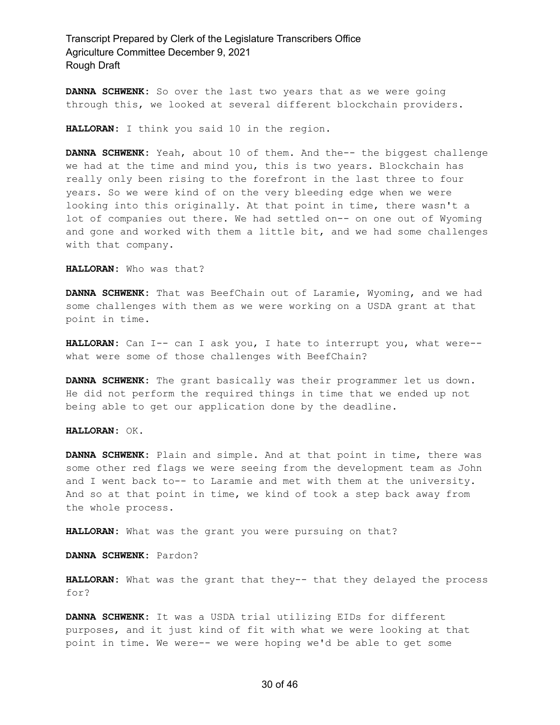**DANNA SCHWENK:** So over the last two years that as we were going through this, we looked at several different blockchain providers.

**HALLORAN:** I think you said 10 in the region.

**DANNA SCHWENK:** Yeah, about 10 of them. And the-- the biggest challenge we had at the time and mind you, this is two years. Blockchain has really only been rising to the forefront in the last three to four years. So we were kind of on the very bleeding edge when we were looking into this originally. At that point in time, there wasn't a lot of companies out there. We had settled on-- on one out of Wyoming and gone and worked with them a little bit, and we had some challenges with that company.

**HALLORAN:** Who was that?

**DANNA SCHWENK:** That was BeefChain out of Laramie, Wyoming, and we had some challenges with them as we were working on a USDA grant at that point in time.

**HALLORAN:** Can I-- can I ask you, I hate to interrupt you, what were- what were some of those challenges with BeefChain?

**DANNA SCHWENK:** The grant basically was their programmer let us down. He did not perform the required things in time that we ended up not being able to get our application done by the deadline.

**HALLORAN:** OK.

**DANNA SCHWENK:** Plain and simple. And at that point in time, there was some other red flags we were seeing from the development team as John and I went back to-- to Laramie and met with them at the university. And so at that point in time, we kind of took a step back away from the whole process.

**HALLORAN:** What was the grant you were pursuing on that?

**DANNA SCHWENK:** Pardon?

**HALLORAN:** What was the grant that they-- that they delayed the process for?

**DANNA SCHWENK:** It was a USDA trial utilizing EIDs for different purposes, and it just kind of fit with what we were looking at that point in time. We were-- we were hoping we'd be able to get some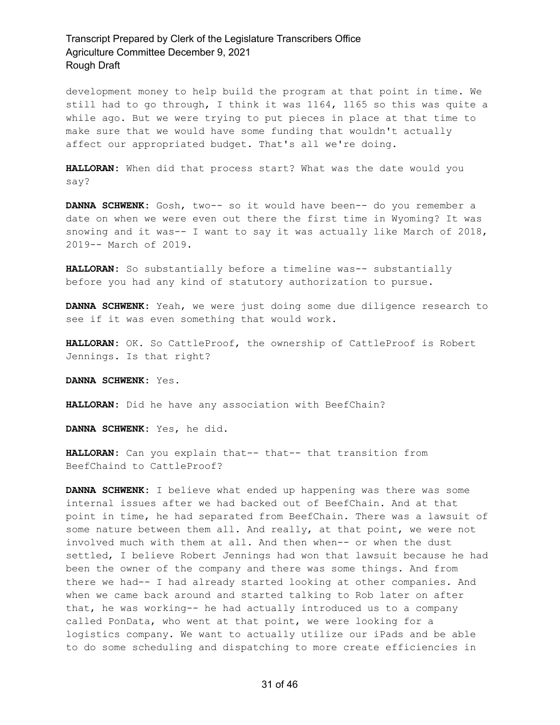development money to help build the program at that point in time. We still had to go through, I think it was 1164, 1165 so this was quite a while ago. But we were trying to put pieces in place at that time to make sure that we would have some funding that wouldn't actually affect our appropriated budget. That's all we're doing.

**HALLORAN:** When did that process start? What was the date would you say?

**DANNA SCHWENK:** Gosh, two-- so it would have been-- do you remember a date on when we were even out there the first time in Wyoming? It was snowing and it was-- I want to say it was actually like March of 2018, 2019-- March of 2019.

**HALLORAN:** So substantially before a timeline was-- substantially before you had any kind of statutory authorization to pursue.

**DANNA SCHWENK:** Yeah, we were just doing some due diligence research to see if it was even something that would work.

**HALLORAN:** OK. So CattleProof, the ownership of CattleProof is Robert Jennings. Is that right?

**DANNA SCHWENK:** Yes.

**HALLORAN:** Did he have any association with BeefChain?

**DANNA SCHWENK:** Yes, he did.

**HALLORAN:** Can you explain that-- that-- that transition from BeefChaind to CattleProof?

**DANNA SCHWENK:** I believe what ended up happening was there was some internal issues after we had backed out of BeefChain. And at that point in time, he had separated from BeefChain. There was a lawsuit of some nature between them all. And really, at that point, we were not involved much with them at all. And then when-- or when the dust settled, I believe Robert Jennings had won that lawsuit because he had been the owner of the company and there was some things. And from there we had-- I had already started looking at other companies. And when we came back around and started talking to Rob later on after that, he was working-- he had actually introduced us to a company called PonData, who went at that point, we were looking for a logistics company. We want to actually utilize our iPads and be able to do some scheduling and dispatching to more create efficiencies in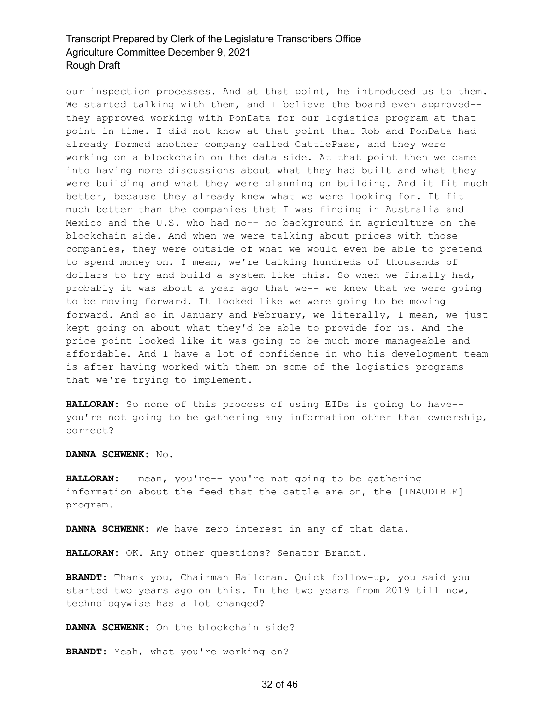our inspection processes. And at that point, he introduced us to them. We started talking with them, and I believe the board even approved-they approved working with PonData for our logistics program at that point in time. I did not know at that point that Rob and PonData had already formed another company called CattlePass, and they were working on a blockchain on the data side. At that point then we came into having more discussions about what they had built and what they were building and what they were planning on building. And it fit much better, because they already knew what we were looking for. It fit much better than the companies that I was finding in Australia and Mexico and the U.S. who had no-- no background in agriculture on the blockchain side. And when we were talking about prices with those companies, they were outside of what we would even be able to pretend to spend money on. I mean, we're talking hundreds of thousands of dollars to try and build a system like this. So when we finally had, probably it was about a year ago that we-- we knew that we were going to be moving forward. It looked like we were going to be moving forward. And so in January and February, we literally, I mean, we just kept going on about what they'd be able to provide for us. And the price point looked like it was going to be much more manageable and affordable. And I have a lot of confidence in who his development team is after having worked with them on some of the logistics programs that we're trying to implement.

**HALLORAN:** So none of this process of using EIDs is going to have- you're not going to be gathering any information other than ownership, correct?

**DANNA SCHWENK:** No.

**HALLORAN:** I mean, you're-- you're not going to be gathering information about the feed that the cattle are on, the [INAUDIBLE] program.

**DANNA SCHWENK:** We have zero interest in any of that data.

**HALLORAN:** OK. Any other questions? Senator Brandt.

**BRANDT:** Thank you, Chairman Halloran. Quick follow-up, you said you started two years ago on this. In the two years from 2019 till now, technologywise has a lot changed?

**DANNA SCHWENK:** On the blockchain side?

**BRANDT:** Yeah, what you're working on?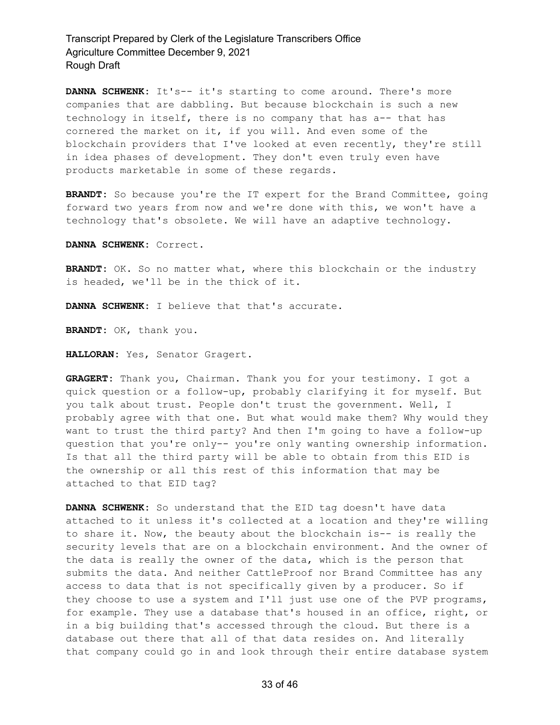**DANNA SCHWENK:** It's-- it's starting to come around. There's more companies that are dabbling. But because blockchain is such a new technology in itself, there is no company that has a-- that has cornered the market on it, if you will. And even some of the blockchain providers that I've looked at even recently, they're still in idea phases of development. They don't even truly even have products marketable in some of these regards.

**BRANDT:** So because you're the IT expert for the Brand Committee, going forward two years from now and we're done with this, we won't have a technology that's obsolete. We will have an adaptive technology.

**DANNA SCHWENK:** Correct.

**BRANDT:** OK. So no matter what, where this blockchain or the industry is headed, we'll be in the thick of it.

**DANNA SCHWENK:** I believe that that's accurate.

**BRANDT:** OK, thank you.

**HALLORAN:** Yes, Senator Gragert.

**GRAGERT:** Thank you, Chairman. Thank you for your testimony. I got a quick question or a follow-up, probably clarifying it for myself. But you talk about trust. People don't trust the government. Well, I probably agree with that one. But what would make them? Why would they want to trust the third party? And then I'm going to have a follow-up question that you're only-- you're only wanting ownership information. Is that all the third party will be able to obtain from this EID is the ownership or all this rest of this information that may be attached to that EID tag?

**DANNA SCHWENK:** So understand that the EID tag doesn't have data attached to it unless it's collected at a location and they're willing to share it. Now, the beauty about the blockchain is-- is really the security levels that are on a blockchain environment. And the owner of the data is really the owner of the data, which is the person that submits the data. And neither CattleProof nor Brand Committee has any access to data that is not specifically given by a producer. So if they choose to use a system and I'll just use one of the PVP programs, for example. They use a database that's housed in an office, right, or in a big building that's accessed through the cloud. But there is a database out there that all of that data resides on. And literally that company could go in and look through their entire database system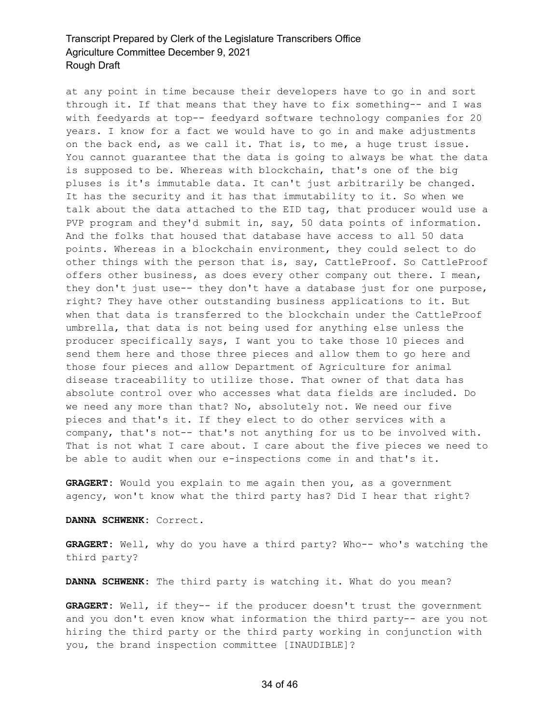at any point in time because their developers have to go in and sort through it. If that means that they have to fix something-- and I was with feedyards at top-- feedyard software technology companies for 20 years. I know for a fact we would have to go in and make adjustments on the back end, as we call it. That is, to me, a huge trust issue. You cannot guarantee that the data is going to always be what the data is supposed to be. Whereas with blockchain, that's one of the big pluses is it's immutable data. It can't just arbitrarily be changed. It has the security and it has that immutability to it. So when we talk about the data attached to the EID tag, that producer would use a PVP program and they'd submit in, say, 50 data points of information. And the folks that housed that database have access to all 50 data points. Whereas in a blockchain environment, they could select to do other things with the person that is, say, CattleProof. So CattleProof offers other business, as does every other company out there. I mean, they don't just use-- they don't have a database just for one purpose, right? They have other outstanding business applications to it. But when that data is transferred to the blockchain under the CattleProof umbrella, that data is not being used for anything else unless the producer specifically says, I want you to take those 10 pieces and send them here and those three pieces and allow them to go here and those four pieces and allow Department of Agriculture for animal disease traceability to utilize those. That owner of that data has absolute control over who accesses what data fields are included. Do we need any more than that? No, absolutely not. We need our five pieces and that's it. If they elect to do other services with a company, that's not-- that's not anything for us to be involved with. That is not what I care about. I care about the five pieces we need to be able to audit when our e-inspections come in and that's it.

**GRAGERT:** Would you explain to me again then you, as a government agency, won't know what the third party has? Did I hear that right?

**DANNA SCHWENK:** Correct.

**GRAGERT:** Well, why do you have a third party? Who-- who's watching the third party?

**DANNA SCHWENK:** The third party is watching it. What do you mean?

**GRAGERT:** Well, if they-- if the producer doesn't trust the government and you don't even know what information the third party-- are you not hiring the third party or the third party working in conjunction with you, the brand inspection committee [INAUDIBLE]?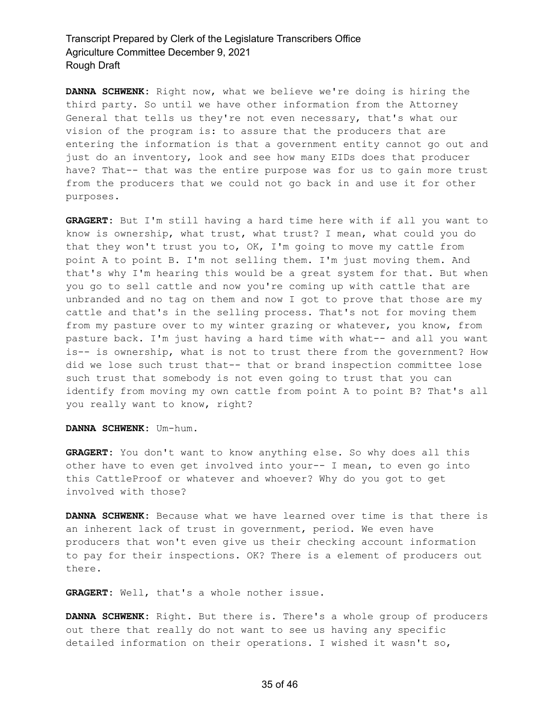**DANNA SCHWENK:** Right now, what we believe we're doing is hiring the third party. So until we have other information from the Attorney General that tells us they're not even necessary, that's what our vision of the program is: to assure that the producers that are entering the information is that a government entity cannot go out and just do an inventory, look and see how many EIDs does that producer have? That-- that was the entire purpose was for us to gain more trust from the producers that we could not go back in and use it for other purposes.

**GRAGERT:** But I'm still having a hard time here with if all you want to know is ownership, what trust, what trust? I mean, what could you do that they won't trust you to, OK, I'm going to move my cattle from point A to point B. I'm not selling them. I'm just moving them. And that's why I'm hearing this would be a great system for that. But when you go to sell cattle and now you're coming up with cattle that are unbranded and no tag on them and now I got to prove that those are my cattle and that's in the selling process. That's not for moving them from my pasture over to my winter grazing or whatever, you know, from pasture back. I'm just having a hard time with what-- and all you want is-- is ownership, what is not to trust there from the government? How did we lose such trust that-- that or brand inspection committee lose such trust that somebody is not even going to trust that you can identify from moving my own cattle from point A to point B? That's all you really want to know, right?

#### **DANNA SCHWENK:** Um-hum.

**GRAGERT:** You don't want to know anything else. So why does all this other have to even get involved into your-- I mean, to even go into this CattleProof or whatever and whoever? Why do you got to get involved with those?

**DANNA SCHWENK:** Because what we have learned over time is that there is an inherent lack of trust in government, period. We even have producers that won't even give us their checking account information to pay for their inspections. OK? There is a element of producers out there.

**GRAGERT:** Well, that's a whole nother issue.

**DANNA SCHWENK:** Right. But there is. There's a whole group of producers out there that really do not want to see us having any specific detailed information on their operations. I wished it wasn't so,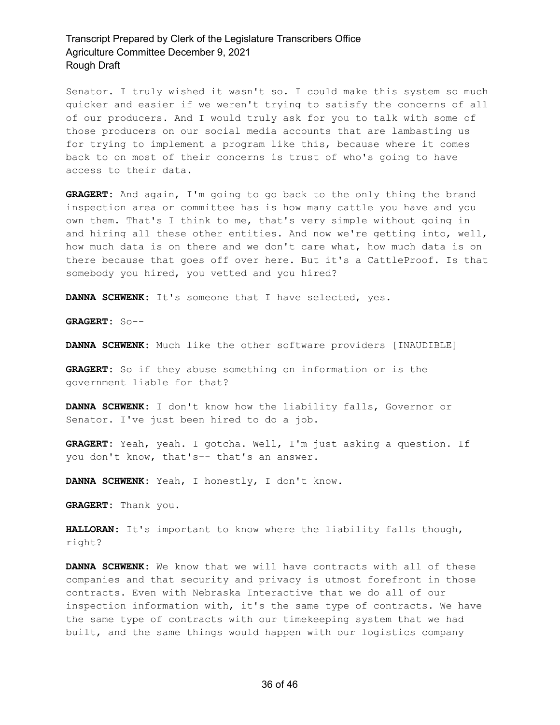Senator. I truly wished it wasn't so. I could make this system so much quicker and easier if we weren't trying to satisfy the concerns of all of our producers. And I would truly ask for you to talk with some of those producers on our social media accounts that are lambasting us for trying to implement a program like this, because where it comes back to on most of their concerns is trust of who's going to have access to their data.

**GRAGERT:** And again, I'm going to go back to the only thing the brand inspection area or committee has is how many cattle you have and you own them. That's I think to me, that's very simple without going in and hiring all these other entities. And now we're getting into, well, how much data is on there and we don't care what, how much data is on there because that goes off over here. But it's a CattleProof. Is that somebody you hired, you vetted and you hired?

**DANNA SCHWENK:** It's someone that I have selected, yes.

**GRAGERT:** So--

**DANNA SCHWENK:** Much like the other software providers [INAUDIBLE]

**GRAGERT:** So if they abuse something on information or is the government liable for that?

**DANNA SCHWENK:** I don't know how the liability falls, Governor or Senator. I've just been hired to do a job.

**GRAGERT:** Yeah, yeah. I gotcha. Well, I'm just asking a question. If you don't know, that's-- that's an answer.

**DANNA SCHWENK:** Yeah, I honestly, I don't know.

**GRAGERT:** Thank you.

**HALLORAN:** It's important to know where the liability falls though, right?

**DANNA SCHWENK:** We know that we will have contracts with all of these companies and that security and privacy is utmost forefront in those contracts. Even with Nebraska Interactive that we do all of our inspection information with, it's the same type of contracts. We have the same type of contracts with our timekeeping system that we had built, and the same things would happen with our logistics company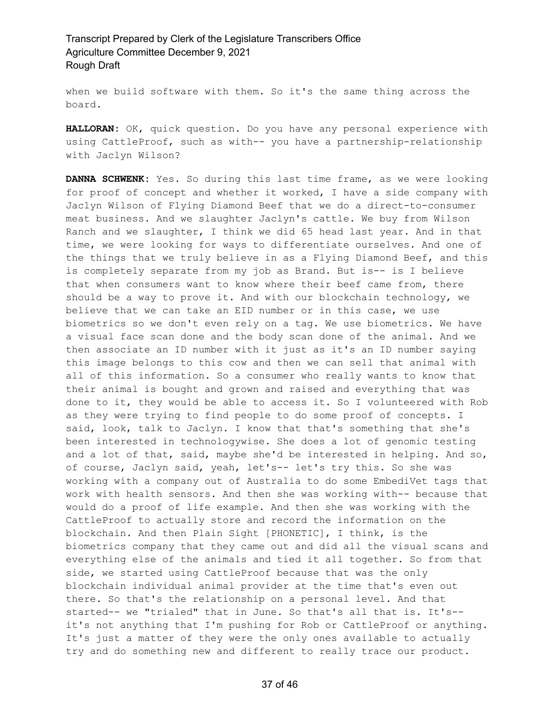when we build software with them. So it's the same thing across the board.

**HALLORAN:** OK, quick question. Do you have any personal experience with using CattleProof, such as with-- you have a partnership-relationship with Jaclyn Wilson?

**DANNA SCHWENK:** Yes. So during this last time frame, as we were looking for proof of concept and whether it worked, I have a side company with Jaclyn Wilson of Flying Diamond Beef that we do a direct-to-consumer meat business. And we slaughter Jaclyn's cattle. We buy from Wilson Ranch and we slaughter, I think we did 65 head last year. And in that time, we were looking for ways to differentiate ourselves. And one of the things that we truly believe in as a Flying Diamond Beef, and this is completely separate from my job as Brand. But is-- is I believe that when consumers want to know where their beef came from, there should be a way to prove it. And with our blockchain technology, we believe that we can take an EID number or in this case, we use biometrics so we don't even rely on a tag. We use biometrics. We have a visual face scan done and the body scan done of the animal. And we then associate an ID number with it just as it's an ID number saying this image belongs to this cow and then we can sell that animal with all of this information. So a consumer who really wants to know that their animal is bought and grown and raised and everything that was done to it, they would be able to access it. So I volunteered with Rob as they were trying to find people to do some proof of concepts. I said, look, talk to Jaclyn. I know that that's something that she's been interested in technologywise. She does a lot of genomic testing and a lot of that, said, maybe she'd be interested in helping. And so, of course, Jaclyn said, yeah, let's-- let's try this. So she was working with a company out of Australia to do some EmbediVet tags that work with health sensors. And then she was working with-- because that would do a proof of life example. And then she was working with the CattleProof to actually store and record the information on the blockchain. And then Plain Sight [PHONETIC], I think, is the biometrics company that they came out and did all the visual scans and everything else of the animals and tied it all together. So from that side, we started using CattleProof because that was the only blockchain individual animal provider at the time that's even out there. So that's the relationship on a personal level. And that started-- we "trialed" that in June. So that's all that is. It's- it's not anything that I'm pushing for Rob or CattleProof or anything. It's just a matter of they were the only ones available to actually try and do something new and different to really trace our product.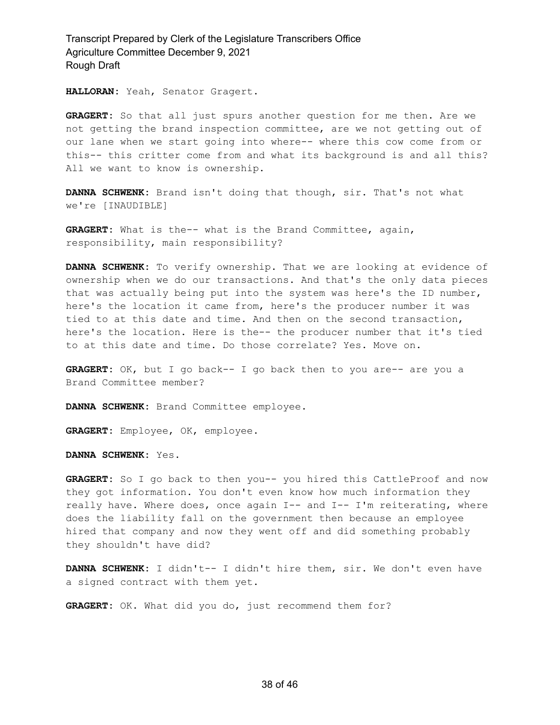**HALLORAN:** Yeah, Senator Gragert.

**GRAGERT:** So that all just spurs another question for me then. Are we not getting the brand inspection committee, are we not getting out of our lane when we start going into where-- where this cow come from or this-- this critter come from and what its background is and all this? All we want to know is ownership.

**DANNA SCHWENK:** Brand isn't doing that though, sir. That's not what we're [INAUDIBLE]

**GRAGERT:** What is the-- what is the Brand Committee, again, responsibility, main responsibility?

**DANNA SCHWENK:** To verify ownership. That we are looking at evidence of ownership when we do our transactions. And that's the only data pieces that was actually being put into the system was here's the ID number, here's the location it came from, here's the producer number it was tied to at this date and time. And then on the second transaction, here's the location. Here is the-- the producer number that it's tied to at this date and time. Do those correlate? Yes. Move on.

**GRAGERT:** OK, but I go back-- I go back then to you are-- are you a Brand Committee member?

**DANNA SCHWENK:** Brand Committee employee.

**GRAGERT:** Employee, OK, employee.

**DANNA SCHWENK:** Yes.

**GRAGERT:** So I go back to then you-- you hired this CattleProof and now they got information. You don't even know how much information they really have. Where does, once again I-- and I-- I'm reiterating, where does the liability fall on the government then because an employee hired that company and now they went off and did something probably they shouldn't have did?

**DANNA SCHWENK:** I didn't-- I didn't hire them, sir. We don't even have a signed contract with them yet.

**GRAGERT:** OK. What did you do, just recommend them for?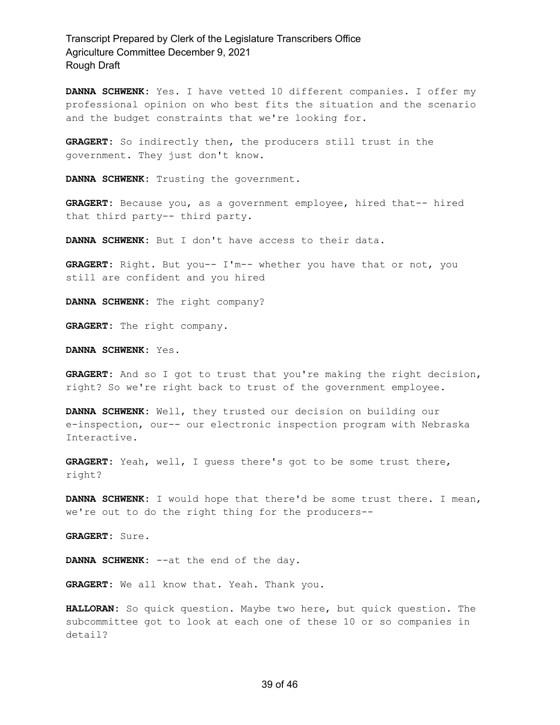**DANNA SCHWENK:** Yes. I have vetted 10 different companies. I offer my professional opinion on who best fits the situation and the scenario and the budget constraints that we're looking for.

**GRAGERT:** So indirectly then, the producers still trust in the government. They just don't know.

**DANNA SCHWENK:** Trusting the government.

**GRAGERT:** Because you, as a government employee, hired that-- hired that third party-- third party.

**DANNA SCHWENK:** But I don't have access to their data.

**GRAGERT:** Right. But you-- I'm-- whether you have that or not, you still are confident and you hired

**DANNA SCHWENK:** The right company?

**GRAGERT:** The right company.

**DANNA SCHWENK:** Yes.

**GRAGERT:** And so I got to trust that you're making the right decision, right? So we're right back to trust of the government employee.

**DANNA SCHWENK:** Well, they trusted our decision on building our e-inspection, our-- our electronic inspection program with Nebraska Interactive.

**GRAGERT:** Yeah, well, I guess there's got to be some trust there, right?

**DANNA SCHWENK:** I would hope that there'd be some trust there. I mean, we're out to do the right thing for the producers--

**GRAGERT:** Sure.

**DANNA SCHWENK:** --at the end of the day.

**GRAGERT:** We all know that. Yeah. Thank you.

**HALLORAN:** So quick question. Maybe two here, but quick question. The subcommittee got to look at each one of these 10 or so companies in detail?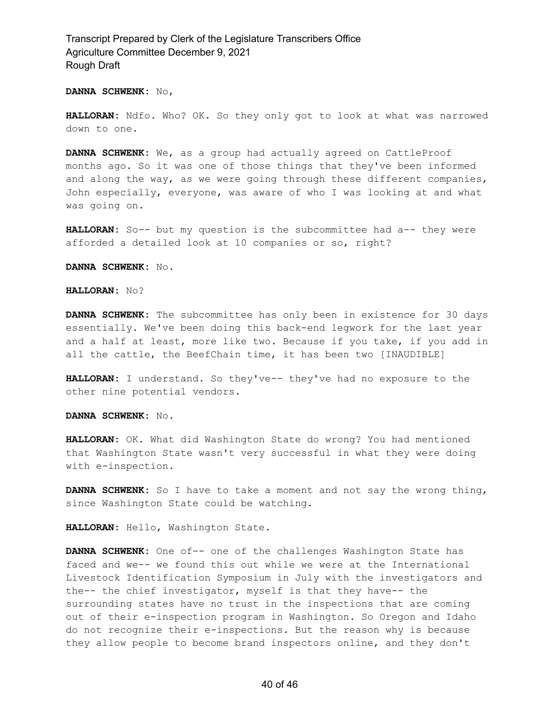#### **DANNA SCHWENK:** No,

**HALLORAN:** Ndfo. Who? OK. So they only got to look at what was narrowed down to one.

**DANNA SCHWENK:** We, as a group had actually agreed on CattleProof months ago. So it was one of those things that they've been informed and along the way, as we were going through these different companies, John especially, everyone, was aware of who I was looking at and what was going on.

**HALLORAN:** So-- but my question is the subcommittee had a-- they were afforded a detailed look at 10 companies or so, right?

#### **DANNA SCHWENK:** No.

#### **HALLORAN:** No?

**DANNA SCHWENK:** The subcommittee has only been in existence for 30 days essentially. We've been doing this back-end legwork for the last year and a half at least, more like two. Because if you take, if you add in all the cattle, the BeefChain time, it has been two [INAUDIBLE]

**HALLORAN:** I understand. So they've-- they've had no exposure to the other nine potential vendors.

**DANNA SCHWENK:** No.

**HALLORAN:** OK. What did Washington State do wrong? You had mentioned that Washington State wasn't very successful in what they were doing with e-inspection.

**DANNA SCHWENK:** So I have to take a moment and not say the wrong thing, since Washington State could be watching.

**HALLORAN:** Hello, Washington State.

**DANNA SCHWENK:** One of-- one of the challenges Washington State has faced and we-- we found this out while we were at the International Livestock Identification Symposium in July with the investigators and the-- the chief investigator, myself is that they have-- the surrounding states have no trust in the inspections that are coming out of their e-inspection program in Washington. So Oregon and Idaho do not recognize their e-inspections. But the reason why is because they allow people to become brand inspectors online, and they don't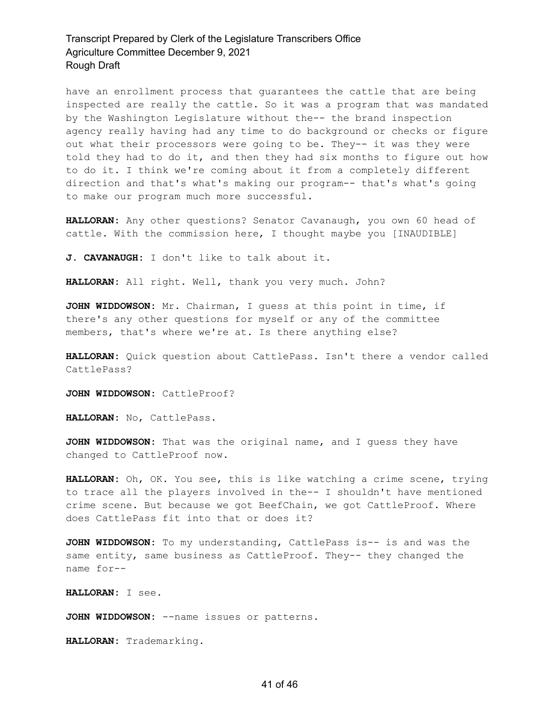have an enrollment process that guarantees the cattle that are being inspected are really the cattle. So it was a program that was mandated by the Washington Legislature without the-- the brand inspection agency really having had any time to do background or checks or figure out what their processors were going to be. They-- it was they were told they had to do it, and then they had six months to figure out how to do it. I think we're coming about it from a completely different direction and that's what's making our program-- that's what's going to make our program much more successful.

**HALLORAN:** Any other questions? Senator Cavanaugh, you own 60 head of cattle. With the commission here, I thought maybe you [INAUDIBLE]

**J. CAVANAUGH:** I don't like to talk about it.

**HALLORAN:** All right. Well, thank you very much. John?

**JOHN WIDDOWSON:** Mr. Chairman, I guess at this point in time, if there's any other questions for myself or any of the committee members, that's where we're at. Is there anything else?

**HALLORAN:** Quick question about CattlePass. Isn't there a vendor called CattlePass?

**JOHN WIDDOWSON:** CattleProof?

**HALLORAN:** No, CattlePass.

**JOHN WIDDOWSON:** That was the original name, and I guess they have changed to CattleProof now.

**HALLORAN:** Oh, OK. You see, this is like watching a crime scene, trying to trace all the players involved in the-- I shouldn't have mentioned crime scene. But because we got BeefChain, we got CattleProof. Where does CattlePass fit into that or does it?

**JOHN WIDDOWSON:** To my understanding, CattlePass is-- is and was the same entity, same business as CattleProof. They-- they changed the name for--

**HALLORAN:** I see.

**JOHN WIDDOWSON:** --name issues or patterns.

**HALLORAN:** Trademarking.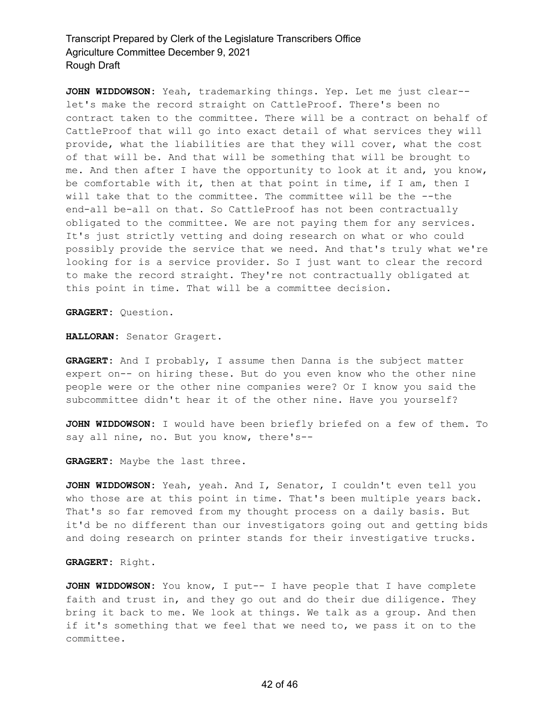**JOHN WIDDOWSON:** Yeah, trademarking things. Yep. Let me just clear- let's make the record straight on CattleProof. There's been no contract taken to the committee. There will be a contract on behalf of CattleProof that will go into exact detail of what services they will provide, what the liabilities are that they will cover, what the cost of that will be. And that will be something that will be brought to me. And then after I have the opportunity to look at it and, you know, be comfortable with it, then at that point in time, if I am, then I will take that to the committee. The committee will be the --the end-all be-all on that. So CattleProof has not been contractually obligated to the committee. We are not paying them for any services. It's just strictly vetting and doing research on what or who could possibly provide the service that we need. And that's truly what we're looking for is a service provider. So I just want to clear the record to make the record straight. They're not contractually obligated at this point in time. That will be a committee decision.

**GRAGERT:** Question.

**HALLORAN:** Senator Gragert.

**GRAGERT:** And I probably, I assume then Danna is the subject matter expert on-- on hiring these. But do you even know who the other nine people were or the other nine companies were? Or I know you said the subcommittee didn't hear it of the other nine. Have you yourself?

**JOHN WIDDOWSON:** I would have been briefly briefed on a few of them. To say all nine, no. But you know, there's--

**GRAGERT:** Maybe the last three.

**JOHN WIDDOWSON:** Yeah, yeah. And I, Senator, I couldn't even tell you who those are at this point in time. That's been multiple years back. That's so far removed from my thought process on a daily basis. But it'd be no different than our investigators going out and getting bids and doing research on printer stands for their investigative trucks.

### **GRAGERT:** Right.

**JOHN WIDDOWSON:** You know, I put-- I have people that I have complete faith and trust in, and they go out and do their due diligence. They bring it back to me. We look at things. We talk as a group. And then if it's something that we feel that we need to, we pass it on to the committee.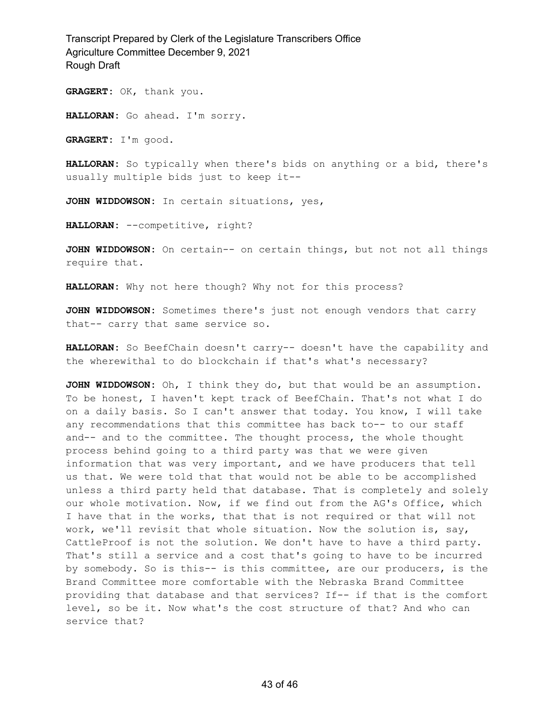**GRAGERT:** OK, thank you.

**HALLORAN:** Go ahead. I'm sorry.

**GRAGERT:** I'm good.

**HALLORAN:** So typically when there's bids on anything or a bid, there's usually multiple bids just to keep it--

**JOHN WIDDOWSON:** In certain situations, yes,

**HALLORAN:** --competitive, right?

**JOHN WIDDOWSON:** On certain-- on certain things, but not not all things require that.

**HALLORAN:** Why not here though? Why not for this process?

**JOHN WIDDOWSON:** Sometimes there's just not enough vendors that carry that-- carry that same service so.

**HALLORAN:** So BeefChain doesn't carry-- doesn't have the capability and the wherewithal to do blockchain if that's what's necessary?

**JOHN WIDDOWSON:** Oh, I think they do, but that would be an assumption. To be honest, I haven't kept track of BeefChain. That's not what I do on a daily basis. So I can't answer that today. You know, I will take any recommendations that this committee has back to-- to our staff and-- and to the committee. The thought process, the whole thought process behind going to a third party was that we were given information that was very important, and we have producers that tell us that. We were told that that would not be able to be accomplished unless a third party held that database. That is completely and solely our whole motivation. Now, if we find out from the AG's Office, which I have that in the works, that that is not required or that will not work, we'll revisit that whole situation. Now the solution is, say, CattleProof is not the solution. We don't have to have a third party. That's still a service and a cost that's going to have to be incurred by somebody. So is this-- is this committee, are our producers, is the Brand Committee more comfortable with the Nebraska Brand Committee providing that database and that services? If-- if that is the comfort level, so be it. Now what's the cost structure of that? And who can service that?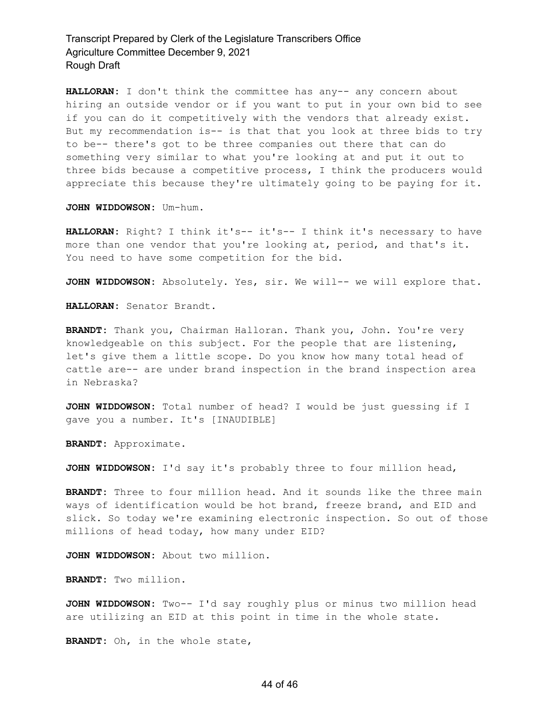**HALLORAN:** I don't think the committee has any-- any concern about hiring an outside vendor or if you want to put in your own bid to see if you can do it competitively with the vendors that already exist. But my recommendation is-- is that that you look at three bids to try to be-- there's got to be three companies out there that can do something very similar to what you're looking at and put it out to three bids because a competitive process, I think the producers would appreciate this because they're ultimately going to be paying for it.

**JOHN WIDDOWSON:** Um-hum.

**HALLORAN:** Right? I think it's-- it's-- I think it's necessary to have more than one vendor that you're looking at, period, and that's it. You need to have some competition for the bid.

**JOHN WIDDOWSON:** Absolutely. Yes, sir. We will-- we will explore that.

**HALLORAN:** Senator Brandt.

**BRANDT:** Thank you, Chairman Halloran. Thank you, John. You're very knowledgeable on this subject. For the people that are listening, let's give them a little scope. Do you know how many total head of cattle are-- are under brand inspection in the brand inspection area in Nebraska?

**JOHN WIDDOWSON:** Total number of head? I would be just guessing if I gave you a number. It's [INAUDIBLE]

**BRANDT:** Approximate.

**JOHN WIDDOWSON:** I'd say it's probably three to four million head,

**BRANDT:** Three to four million head. And it sounds like the three main ways of identification would be hot brand, freeze brand, and EID and slick. So today we're examining electronic inspection. So out of those millions of head today, how many under EID?

**JOHN WIDDOWSON:** About two million.

**BRANDT:** Two million.

**JOHN WIDDOWSON:** Two-- I'd say roughly plus or minus two million head are utilizing an EID at this point in time in the whole state.

**BRANDT:** Oh, in the whole state,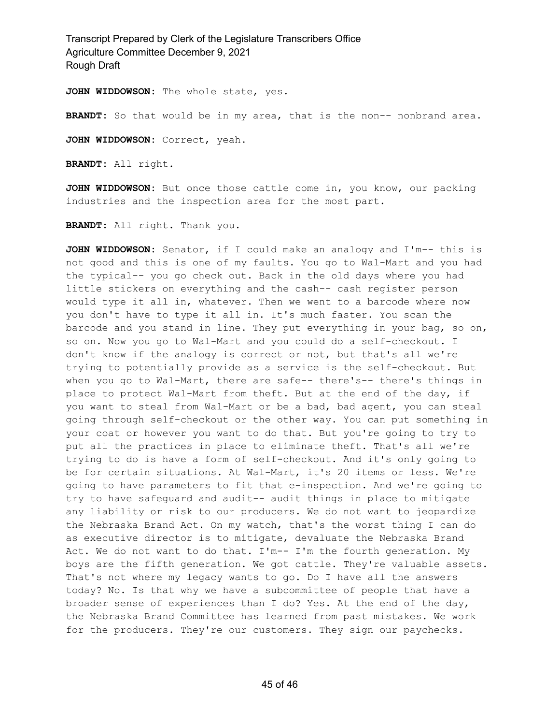**JOHN WIDDOWSON:** The whole state, yes.

BRANDT: So that would be in my area, that is the non-- nonbrand area.

**JOHN WIDDOWSON:** Correct, yeah.

**BRANDT:** All right.

**JOHN WIDDOWSON:** But once those cattle come in, you know, our packing industries and the inspection area for the most part.

**BRANDT:** All right. Thank you.

**JOHN WIDDOWSON:** Senator, if I could make an analogy and I'm-- this is not good and this is one of my faults. You go to Wal-Mart and you had the typical-- you go check out. Back in the old days where you had little stickers on everything and the cash-- cash register person would type it all in, whatever. Then we went to a barcode where now you don't have to type it all in. It's much faster. You scan the barcode and you stand in line. They put everything in your bag, so on, so on. Now you go to Wal-Mart and you could do a self-checkout. I don't know if the analogy is correct or not, but that's all we're trying to potentially provide as a service is the self-checkout. But when you go to Wal-Mart, there are safe-- there's-- there's things in place to protect Wal-Mart from theft. But at the end of the day, if you want to steal from Wal-Mart or be a bad, bad agent, you can steal going through self-checkout or the other way. You can put something in your coat or however you want to do that. But you're going to try to put all the practices in place to eliminate theft. That's all we're trying to do is have a form of self-checkout. And it's only going to be for certain situations. At Wal-Mart, it's 20 items or less. We're going to have parameters to fit that e-inspection. And we're going to try to have safeguard and audit-- audit things in place to mitigate any liability or risk to our producers. We do not want to jeopardize the Nebraska Brand Act. On my watch, that's the worst thing I can do as executive director is to mitigate, devaluate the Nebraska Brand Act. We do not want to do that. I'm-- I'm the fourth generation. My boys are the fifth generation. We got cattle. They're valuable assets. That's not where my legacy wants to go. Do I have all the answers today? No. Is that why we have a subcommittee of people that have a broader sense of experiences than I do? Yes. At the end of the day, the Nebraska Brand Committee has learned from past mistakes. We work for the producers. They're our customers. They sign our paychecks.